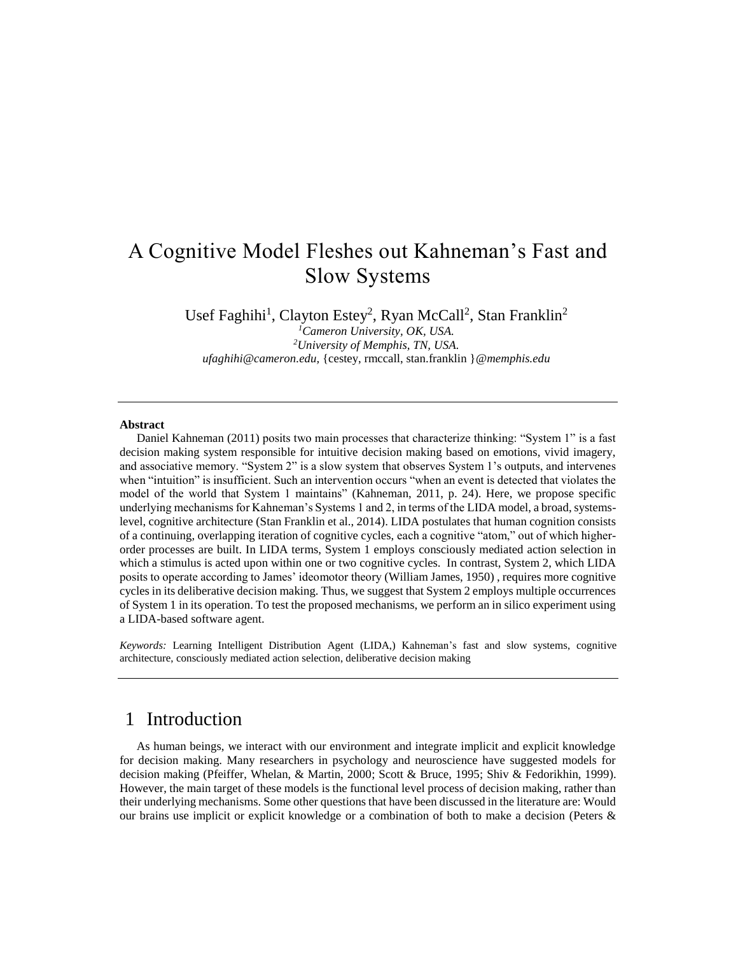# A Cognitive Model Fleshes out Kahneman's Fast and Slow Systems

Usef Faghihi<sup>1</sup>, Clayton Estey<sup>2</sup>, Ryan McCall<sup>2</sup>, Stan Franklin<sup>2</sup>

*<sup>1</sup>Cameron University, OK, USA. <sup>2</sup>University of Memphis, TN, USA. ufaghihi@cameron.edu,* {cestey, rmccall, stan.franklin }*@memphis.edu*

#### **Abstract**

Daniel Kahneman [\(2011\)](#page-20-0) posits two main processes that characterize thinking: "System 1" is a fast decision making system responsible for intuitive decision making based on emotions, vivid imagery, and associative memory. "System 2" is a slow system that observes System 1's outputs, and intervenes when "intuition" is insufficient. Such an intervention occurs "when an event is detected that violates the model of the world that System 1 maintains" [\(Kahneman, 2011, p. 24\)](#page-20-0). Here, we propose specific underlying mechanisms for Kahneman's Systems 1 and 2, in terms of the LIDA model, a broad, systemslevel, cognitive architecture [\(Stan Franklin et al., 2014](#page-20-1)). LIDA postulates that human cognition consists of a continuing, overlapping iteration of cognitive cycles, each a cognitive "atom," out of which higherorder processes are built. In LIDA terms, System 1 employs consciously mediated action selection in which a stimulus is acted upon within one or two cognitive cycles. In contrast, System 2, which LIDA posits to operate according to James' ideomotor theory [\(William James, 1950\)](#page-20-2) , requires more cognitive cycles in its deliberative decision making. Thus, we suggest that System 2 employs multiple occurrences of System 1 in its operation. To test the proposed mechanisms, we perform an in silico experiment using a LIDA-based software agent.

*Keywords:* Learning Intelligent Distribution Agent (LIDA,) Kahneman's fast and slow systems, cognitive architecture, consciously mediated action selection, deliberative decision making

#### 1 Introduction

As human beings, we interact with our environment and integrate implicit and explicit knowledge for decision making. Many researchers in psychology and neuroscience have suggested models for decision making [\(Pfeiffer, Whelan, & Martin, 2000;](#page-20-3) [Scott & Bruce, 1995;](#page-21-0) [Shiv & Fedorikhin, 1999\)](#page-21-1). However, the main target of these models is the functional level process of decision making, rather than their underlying mechanisms. Some other questions that have been discussed in the literature are: Would our brains use implicit or explicit knowledge or a combination of both to make a decision [\(Peters &](#page-20-4)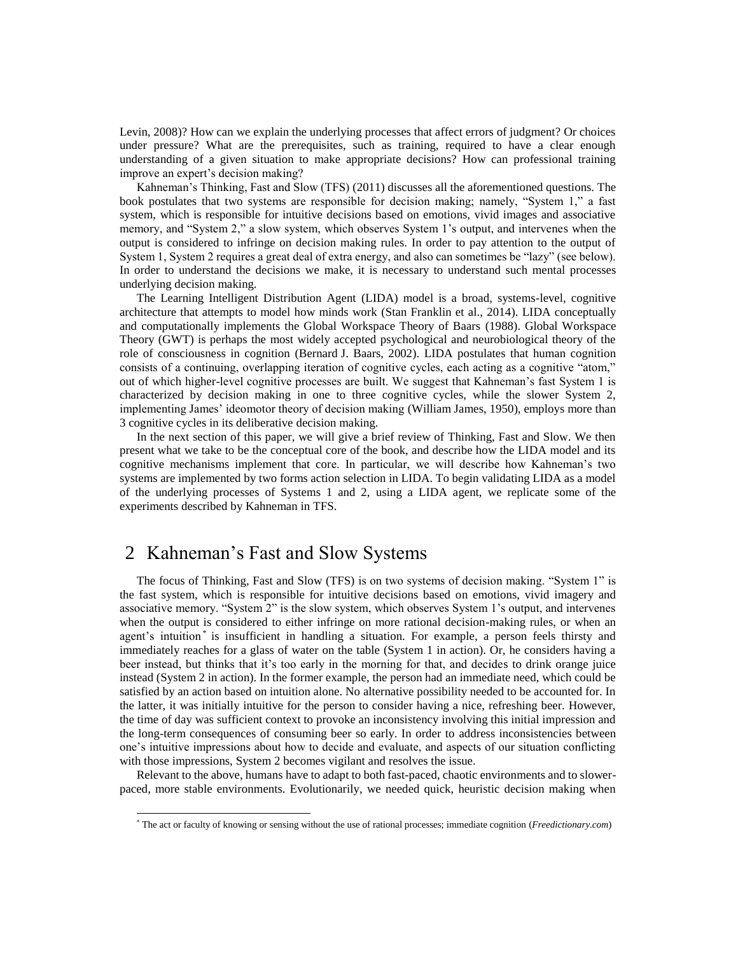[Levin, 2008\)](#page-20-4)? How can we explain the underlying processes that affect errors of judgment? Or choices under pressure? What are the prerequisites, such as training, required to have a clear enough understanding of a given situation to make appropriate decisions? How can professional training improve an expert's decision making?

Kahneman's Thinking, Fast and Slow (TFS) [\(2011\)](#page-20-0) discusses all the aforementioned questions. The book postulates that two systems are responsible for decision making; namely, "System 1," a fast system, which is responsible for intuitive decisions based on emotions, vivid images and associative memory, and "System 2," a slow system, which observes System 1's output, and intervenes when the output is considered to infringe on decision making rules. In order to pay attention to the output of System 1, System 2 requires a great deal of extra energy, and also can sometimes be "lazy" (see below). In order to understand the decisions we make, it is necessary to understand such mental processes underlying decision making.

The Learning Intelligent Distribution Agent (LIDA) model is a broad, systems-level, cognitive architecture that attempts to model how minds work [\(Stan Franklin et al., 2014](#page-20-1)). LIDA conceptually and computationally implements the Global Workspace Theory of Baars [\(1988\)](#page-19-0). Global Workspace Theory (GWT) is perhaps the most widely accepted psychological and neurobiological theory of the role of consciousness in cognition (Bernard [J. Baars, 2002\)](#page-19-1). LIDA postulates that human cognition consists of a continuing, overlapping iteration of cognitive cycles, each acting as a cognitive "atom," out of which higher-level cognitive processes are built. We suggest that Kahneman's fast System 1 is characterized by decision making in one to three cognitive cycles, while the slower System 2, implementing James' ideomotor theory of decision making [\(William James, 1950\)](#page-20-2), employs more than 3 cognitive cycles in its deliberative decision making.

In the next section of this paper, we will give a brief review of Thinking, Fast and Slow. We then present what we take to be the conceptual core of the book, and describe how the LIDA model and its cognitive mechanisms implement that core. In particular, we will describe how Kahneman's two systems are implemented by two forms action selection in LIDA. To begin validating LIDA as a model of the underlying processes of Systems 1 and 2, using a LIDA agent, we replicate some of the experiments described by Kahneman in TFS.

## 2 Kahneman's Fast and Slow Systems

l

The focus of Thinking, Fast and Slow (TFS) is on two systems of decision making. "System 1" is the fast system, which is responsible for intuitive decisions based on emotions, vivid imagery and associative memory. "System 2" is the slow system, which observes System 1's output, and intervenes when the output is considered to either infringe on more rational decision-making rules, or when an agent's intuition<sup>\*</sup> is insufficient in handling a situation. For example, a person feels thirsty and immediately reaches for a glass of water on the table (System 1 in action). Or, he considers having a beer instead, but thinks that it's too early in the morning for that, and decides to drink orange juice instead (System 2 in action). In the former example, the person had an immediate need, which could be satisfied by an action based on intuition alone. No alternative possibility needed to be accounted for. In the latter, it was initially intuitive for the person to consider having a nice, refreshing beer. However, the time of day was sufficient context to provoke an inconsistency involving this initial impression and the long-term consequences of consuming beer so early. In order to address inconsistencies between one's intuitive impressions about how to decide and evaluate, and aspects of our situation conflicting with those impressions, System 2 becomes vigilant and resolves the issue.

Relevant to the above, humans have to adapt to both fast-paced, chaotic environments and to slowerpaced, more stable environments. Evolutionarily, we needed quick, heuristic decision making when

<sup>\*</sup> The act or faculty of knowing or sensing without the use of rational processes; immediate cognition (*Freedictionary.com*)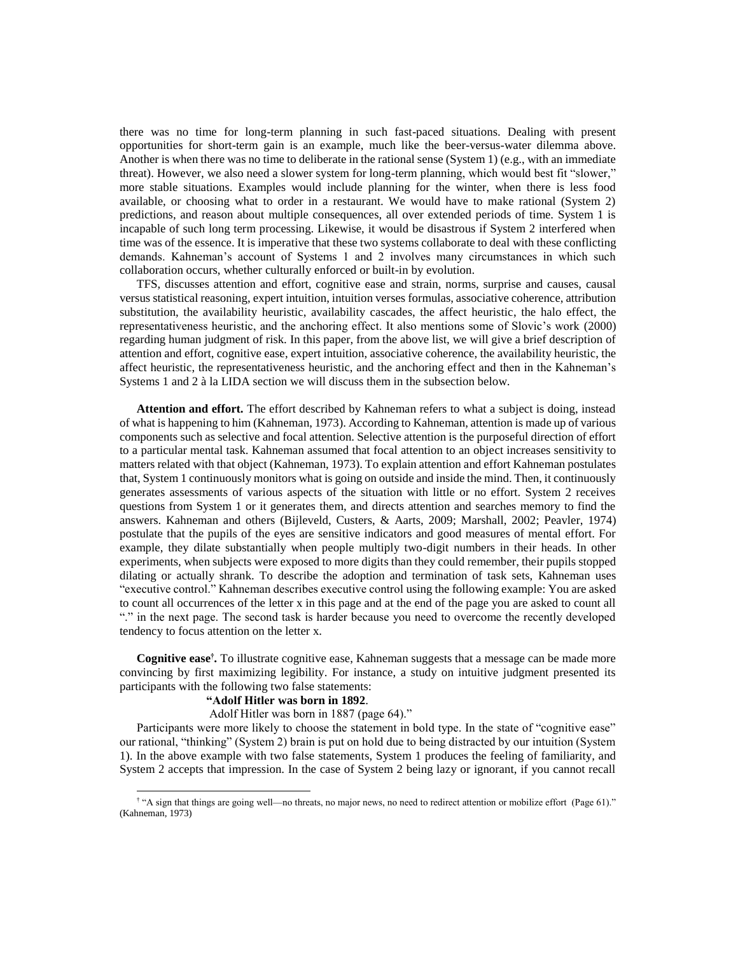there was no time for long-term planning in such fast-paced situations. Dealing with present opportunities for short-term gain is an example, much like the beer-versus-water dilemma above. Another is when there was no time to deliberate in the rational sense (System 1) (e.g., with an immediate threat). However, we also need a slower system for long-term planning, which would best fit "slower," more stable situations. Examples would include planning for the winter, when there is less food available, or choosing what to order in a restaurant. We would have to make rational (System 2) predictions, and reason about multiple consequences, all over extended periods of time. System 1 is incapable of such long term processing. Likewise, it would be disastrous if System 2 interfered when time was of the essence. It is imperative that these two systems collaborate to deal with these conflicting demands. Kahneman's account of Systems 1 and 2 involves many circumstances in which such collaboration occurs, whether culturally enforced or built-in by evolution.

TFS, discusses attention and effort, cognitive ease and strain, norms, surprise and causes, causal versus statistical reasoning, expert intuition, intuition verses formulas, associative coherence, attribution substitution, the availability heuristic, availability cascades, the affect heuristic, the halo effect, the representativeness heuristic, and the anchoring effect. It also mentions some of Slovic's work [\(2000\)](#page-21-2) regarding human judgment of risk. In this paper, from the above list, we will give a brief description of attention and effort, cognitive ease, expert intuition, associative coherence, the availability heuristic, the affect heuristic, the representativeness heuristic, and the anchoring effect and then in the Kahneman's Systems 1 and 2 à la LIDA section we will discuss them in the subsection below.

**Attention and effort.** The effort described by Kahneman refers to what a subject is doing, instead of what is happening to him [\(Kahneman, 1973\)](#page-20-5). According to Kahneman, attention is made up of various components such as selective and focal attention. Selective attention is the purposeful direction of effort to a particular mental task. Kahneman assumed that focal attention to an object increases sensitivity to matters related with that object [\(Kahneman, 1973\)](#page-20-5). To explain attention and effort Kahneman postulates that, System 1 continuously monitors what is going on outside and inside the mind. Then, it continuously generates assessments of various aspects of the situation with little or no effort. System 2 receives questions from System 1 or it generates them, and directs attention and searches memory to find the answers. Kahneman and others [\(Bijleveld, Custers, & Aarts, 2009;](#page-19-2) [Marshall, 2002;](#page-20-6) [Peavler, 1974\)](#page-20-7) postulate that the pupils of the eyes are sensitive indicators and good measures of mental effort. For example, they dilate substantially when people multiply two-digit numbers in their heads. In other experiments, when subjects were exposed to more digits than they could remember, their pupils stopped dilating or actually shrank. To describe the adoption and termination of task sets, Kahneman uses "executive control." Kahneman describes executive control using the following example: You are asked to count all occurrences of the letter x in this page and at the end of the page you are asked to count all "." in the next page. The second task is harder because you need to overcome the recently developed tendency to focus attention on the letter x.

**Cognitive ease†** *.* To illustrate cognitive ease, Kahneman suggests that a message can be made more convincing by first maximizing legibility. For instance, a study on intuitive judgment presented its participants with the following two false statements:

#### **"Adolf Hitler was born in 1892**.

Adolf Hitler was born in 1887 (page 64)."

Participants were more likely to choose the statement in bold type. In the state of "cognitive ease" our rational, "thinking" (System 2) brain is put on hold due to being distracted by our intuition (System 1). In the above example with two false statements, System 1 produces the feeling of familiarity, and System 2 accepts that impression. In the case of System 2 being lazy or ignorant, if you cannot recall

 † "A sign that things are going well—no threats, no major news, no need to redirect attention or mobilize effort (Page 61)." (Kahneman, 1973)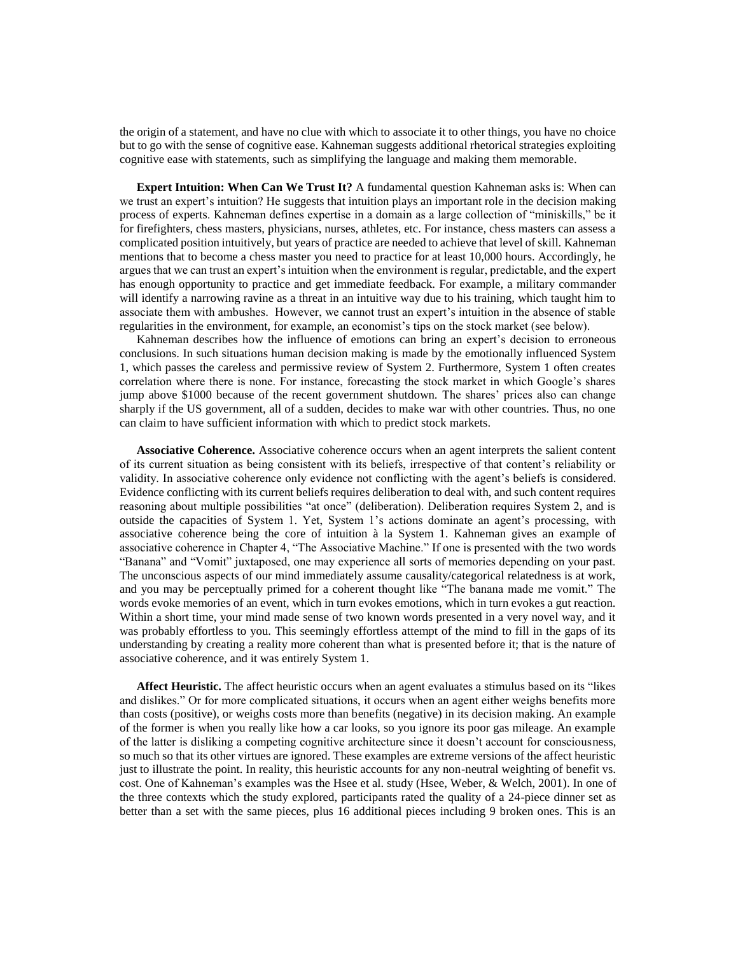the origin of a statement, and have no clue with which to associate it to other things, you have no choice but to go with the sense of cognitive ease. Kahneman suggests additional rhetorical strategies exploiting cognitive ease with statements, such as simplifying the language and making them memorable.

**Expert Intuition: When Can We Trust It?** A fundamental question Kahneman asks is: When can we trust an expert's intuition? He suggests that intuition plays an important role in the decision making process of experts. Kahneman defines expertise in a domain as a large collection of "miniskills," be it for firefighters, chess masters, physicians, nurses, athletes, etc. For instance, chess masters can assess a complicated position intuitively, but years of practice are needed to achieve that level of skill. Kahneman mentions that to become a chess master you need to practice for at least 10,000 hours. Accordingly, he argues that we can trust an expert's intuition when the environment is regular, predictable, and the expert has enough opportunity to practice and get immediate feedback. For example, a military commander will identify a narrowing ravine as a threat in an intuitive way due to his training, which taught him to associate them with ambushes. However, we cannot trust an expert's intuition in the absence of stable regularities in the environment, for example, an economist's tips on the stock market (see below).

Kahneman describes how the influence of emotions can bring an expert's decision to erroneous conclusions. In such situations human decision making is made by the emotionally influenced System 1, which passes the careless and permissive review of System 2. Furthermore, System 1 often creates correlation where there is none. For instance, forecasting the stock market in which Google's shares jump above \$1000 because of the recent government shutdown. The shares' prices also can change sharply if the US government, all of a sudden, decides to make war with other countries. Thus, no one can claim to have sufficient information with which to predict stock markets.

**Associative Coherence.** Associative coherence occurs when an agent interprets the salient content of its current situation as being consistent with its beliefs, irrespective of that content's reliability or validity. In associative coherence only evidence not conflicting with the agent's beliefs is considered. Evidence conflicting with its current beliefs requires deliberation to deal with, and such content requires reasoning about multiple possibilities "at once" (deliberation). Deliberation requires System 2, and is outside the capacities of System 1. Yet, System 1's actions dominate an agent's processing, with associative coherence being the core of intuition à la System 1. Kahneman gives an example of associative coherence in Chapter 4, "The Associative Machine." If one is presented with the two words "Banana" and "Vomit" juxtaposed, one may experience all sorts of memories depending on your past. The unconscious aspects of our mind immediately assume causality/categorical relatedness is at work, and you may be perceptually primed for a coherent thought like "The banana made me vomit." The words evoke memories of an event, which in turn evokes emotions, which in turn evokes a gut reaction. Within a short time, your mind made sense of two known words presented in a very novel way, and it was probably effortless to you. This seemingly effortless attempt of the mind to fill in the gaps of its understanding by creating a reality more coherent than what is presented before it; that is the nature of associative coherence, and it was entirely System 1.

**Affect Heuristic.** The affect heuristic occurs when an agent evaluates a stimulus based on its "likes and dislikes." Or for more complicated situations, it occurs when an agent either weighs benefits more than costs (positive), or weighs costs more than benefits (negative) in its decision making. An example of the former is when you really like how a car looks, so you ignore its poor gas mileage. An example of the latter is disliking a competing cognitive architecture since it doesn't account for consciousness, so much so that its other virtues are ignored. These examples are extreme versions of the affect heuristic just to illustrate the point. In reality, this heuristic accounts for any non-neutral weighting of benefit vs. cost. One of Kahneman's examples was the Hsee et al. study [\(Hsee, Weber, & Welch, 2001\)](#page-20-8). In one of the three contexts which the study explored, participants rated the quality of a 24-piece dinner set as better than a set with the same pieces, plus 16 additional pieces including 9 broken ones. This is an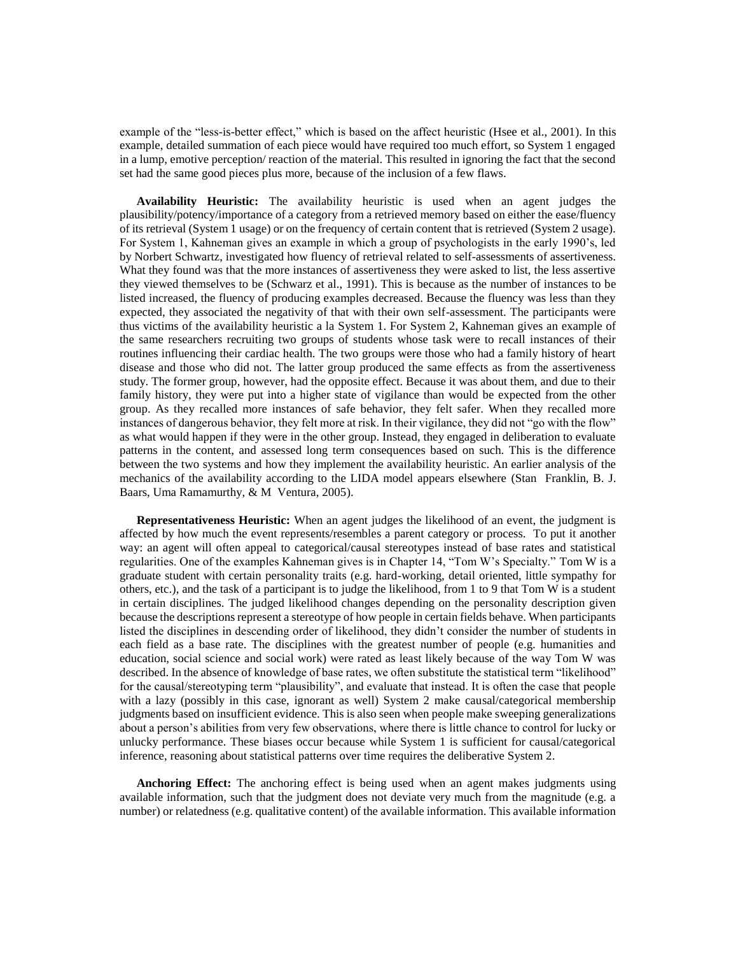example of the "less-is-better effect," which is based on the affect heuristic [\(Hsee et al., 2001\)](#page-20-8). In this example, detailed summation of each piece would have required too much effort, so System 1 engaged in a lump, emotive perception/ reaction of the material. This resulted in ignoring the fact that the second set had the same good pieces plus more, because of the inclusion of a few flaws.

**Availability Heuristic:** The availability heuristic is used when an agent judges the plausibility/potency/importance of a category from a retrieved memory based on either the ease/fluency of its retrieval (System 1 usage) or on the frequency of certain content that is retrieved (System 2 usage). For System 1, Kahneman gives an example in which a group of psychologists in the early 1990's, led by Norbert Schwartz, investigated how fluency of retrieval related to self-assessments of assertiveness. What they found was that the more instances of assertiveness they were asked to list, the less assertive they viewed themselves to be [\(Schwarz et al., 1991\)](#page-21-3). This is because as the number of instances to be listed increased, the fluency of producing examples decreased. Because the fluency was less than they expected, they associated the negativity of that with their own self-assessment. The participants were thus victims of the availability heuristic a la System 1. For System 2, Kahneman gives an example of the same researchers recruiting two groups of students whose task were to recall instances of their routines influencing their cardiac health. The two groups were those who had a family history of heart disease and those who did not. The latter group produced the same effects as from the assertiveness study. The former group, however, had the opposite effect. Because it was about them, and due to their family history, they were put into a higher state of vigilance than would be expected from the other group. As they recalled more instances of safe behavior, they felt safer. When they recalled more instances of dangerous behavior, they felt more at risk. In their vigilance, they did not "go with the flow" as what would happen if they were in the other group. Instead, they engaged in deliberation to evaluate patterns in the content, and assessed long term consequences based on such. This is the difference between the two systems and how they implement the availability heuristic. An earlier analysis of the mechanics of the availability according to the LIDA model appears elsewhere [\(Stan Franklin, B. J.](#page-19-3)  [Baars, Uma Ramamurthy, & M Ventura, 2005\)](#page-19-3).

**Representativeness Heuristic:** When an agent judges the likelihood of an event, the judgment is affected by how much the event represents/resembles a parent category or process. To put it another way: an agent will often appeal to categorical/causal stereotypes instead of base rates and statistical regularities. One of the examples Kahneman gives is in Chapter 14, "Tom W's Specialty." Tom W is a graduate student with certain personality traits (e.g. hard-working, detail oriented, little sympathy for others, etc.), and the task of a participant is to judge the likelihood, from 1 to 9 that Tom W is a student in certain disciplines. The judged likelihood changes depending on the personality description given because the descriptions represent a stereotype of how people in certain fields behave. When participants listed the disciplines in descending order of likelihood, they didn't consider the number of students in each field as a base rate. The disciplines with the greatest number of people (e.g. humanities and education, social science and social work) were rated as least likely because of the way Tom W was described. In the absence of knowledge of base rates, we often substitute the statistical term "likelihood" for the causal/stereotyping term "plausibility", and evaluate that instead. It is often the case that people with a lazy (possibly in this case, ignorant as well) System 2 make causal/categorical membership judgments based on insufficient evidence. This is also seen when people make sweeping generalizations about a person's abilities from very few observations, where there is little chance to control for lucky or unlucky performance. These biases occur because while System 1 is sufficient for causal/categorical inference, reasoning about statistical patterns over time requires the deliberative System 2.

**Anchoring Effect:** The anchoring effect is being used when an agent makes judgments using available information, such that the judgment does not deviate very much from the magnitude (e.g. a number) or relatedness (e.g. qualitative content) of the available information. This available information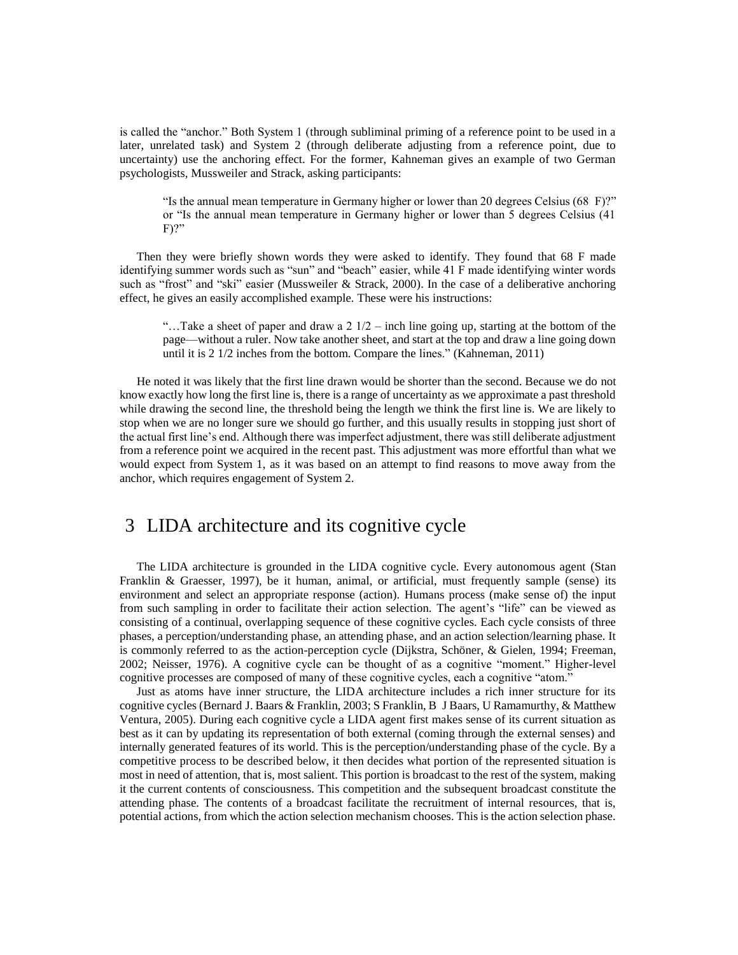is called the "anchor." Both System 1 (through subliminal priming of a reference point to be used in a later, unrelated task) and System 2 (through deliberate adjusting from a reference point, due to uncertainty) use the anchoring effect. For the former, Kahneman gives an example of two German psychologists, Mussweiler and Strack, asking participants:

"Is the annual mean temperature in Germany higher or lower than 20 degrees Celsius (68 F)?" or "Is the annual mean temperature in Germany higher or lower than 5 degrees Celsius (41 F)?"

Then they were briefly shown words they were asked to identify. They found that 68 F made identifying summer words such as "sun" and "beach" easier, while 41 F made identifying winter words such as "frost" and "ski" easier [\(Mussweiler & Strack, 2000\)](#page-20-9). In the case of a deliberative anchoring effect, he gives an easily accomplished example. These were his instructions:

"...Take a sheet of paper and draw a  $2 \frac{1}{2}$  – inch line going up, starting at the bottom of the page—without a ruler. Now take another sheet, and start at the top and draw a line going down until it is 2 1/2 inches from the bottom. Compare the lines." [\(Kahneman, 2011\)](#page-20-0)

He noted it was likely that the first line drawn would be shorter than the second. Because we do not know exactly how long the first line is, there is a range of uncertainty as we approximate a past threshold while drawing the second line, the threshold being the length we think the first line is. We are likely to stop when we are no longer sure we should go further, and this usually results in stopping just short of the actual first line's end. Although there was imperfect adjustment, there was still deliberate adjustment from a reference point we acquired in the recent past. This adjustment was more effortful than what we would expect from System 1, as it was based on an attempt to find reasons to move away from the anchor, which requires engagement of System 2.

### 3 LIDA architecture and its cognitive cycle

The LIDA architecture is grounded in the LIDA cognitive cycle. Every autonomous agent [\(Stan](#page-20-10)  [Franklin & Graesser, 1997\)](#page-20-10), be it human, animal, or artificial, must frequently sample (sense) its environment and select an appropriate response (action). Humans process (make sense of) the input from such sampling in order to facilitate their action selection. The agent's "life" can be viewed as consisting of a continual, overlapping sequence of these cognitive cycles. Each cycle consists of three phases, a perception/understanding phase, an attending phase, and an action selection/learning phase. It is commonly referred to as the action-perception cycle [\(Dijkstra, Schöner, & Gielen, 1994;](#page-19-4) [Freeman,](#page-20-11)  [2002;](#page-20-11) [Neisser, 1976\)](#page-20-12). A cognitive cycle can be thought of as a cognitive "moment." Higher-level cognitive processes are composed of many of these cognitive cycles, each a cognitive "atom."

Just as atoms have inner structure, the LIDA architecture includes a rich inner structure for its cognitive cycles (Bernard [J. Baars & Franklin, 2003;](#page-19-5) [S Franklin, B J Baars, U Ramamurthy, & Matthew](#page-19-6)  [Ventura, 2005\)](#page-19-6). During each cognitive cycle a LIDA agent first makes sense of its current situation as best as it can by updating its representation of both external (coming through the external senses) and internally generated features of its world. This is the perception/understanding phase of the cycle. By a competitive process to be described below, it then decides what portion of the represented situation is most in need of attention, that is, most salient. This portion is broadcast to the rest of the system, making it the current contents of consciousness. This competition and the subsequent broadcast constitute the attending phase. The contents of a broadcast facilitate the recruitment of internal resources, that is, potential actions, from which the action selection mechanism chooses. This is the action selection phase.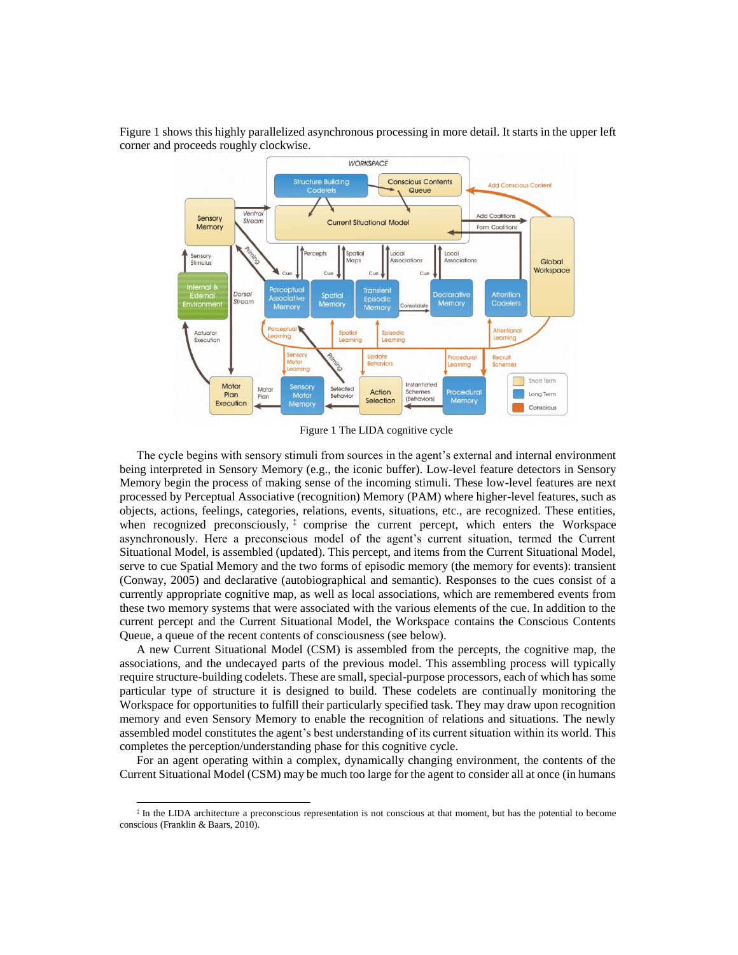

Figure 1 shows this highly parallelized asynchronous processing in more detail. It starts in the upper left corner and proceeds roughly clockwise.

Figure 1 The LIDA cognitive cycle

The cycle begins with sensory stimuli from sources in the agent's external and internal environment being interpreted in Sensory Memory (e.g., the iconic buffer). Low-level feature detectors in Sensory Memory begin the process of making sense of the incoming stimuli. These low-level features are next processed by Perceptual Associative (recognition) Memory (PAM) where higher-level features, such as objects, actions, feelings, categories, relations, events, situations, etc., are recognized. These entities, when recognized preconsciously,<sup>‡</sup> comprise the current percept, which enters the Workspace asynchronously. Here a preconscious model of the agent's current situation, termed the Current Situational Model, is assembled (updated). This percept, and items from the Current Situational Model, serve to cue Spatial Memory and the two forms of episodic memory (the memory for events): transient [\(Conway, 2005\)](#page-19-7) and declarative (autobiographical and semantic). Responses to the cues consist of a currently appropriate cognitive map, as well as local associations, which are remembered events from these two memory systems that were associated with the various elements of the cue. In addition to the current percept and the Current Situational Model, the Workspace contains the Conscious Contents Queue, a queue of the recent contents of consciousness (see below).

A new Current Situational Model (CSM) is assembled from the percepts, the cognitive map, the associations, and the undecayed parts of the previous model. This assembling process will typically require structure-building codelets. These are small, special-purpose processors, each of which has some particular type of structure it is designed to build. These codelets are continually monitoring the Workspace for opportunities to fulfill their particularly specified task. They may draw upon recognition memory and even Sensory Memory to enable the recognition of relations and situations. The newly assembled model constitutes the agent's best understanding of its current situation within its world. This completes the perception/understanding phase for this cognitive cycle.

For an agent operating within a complex, dynamically changing environment, the contents of the Current Situational Model (CSM) may be much too large for the agent to consider all at once (in humans

l

<sup>‡</sup> In the LIDA architecture a preconscious representation is not conscious at that moment, but has the potential to become conscious (Franklin & Baars, 2010).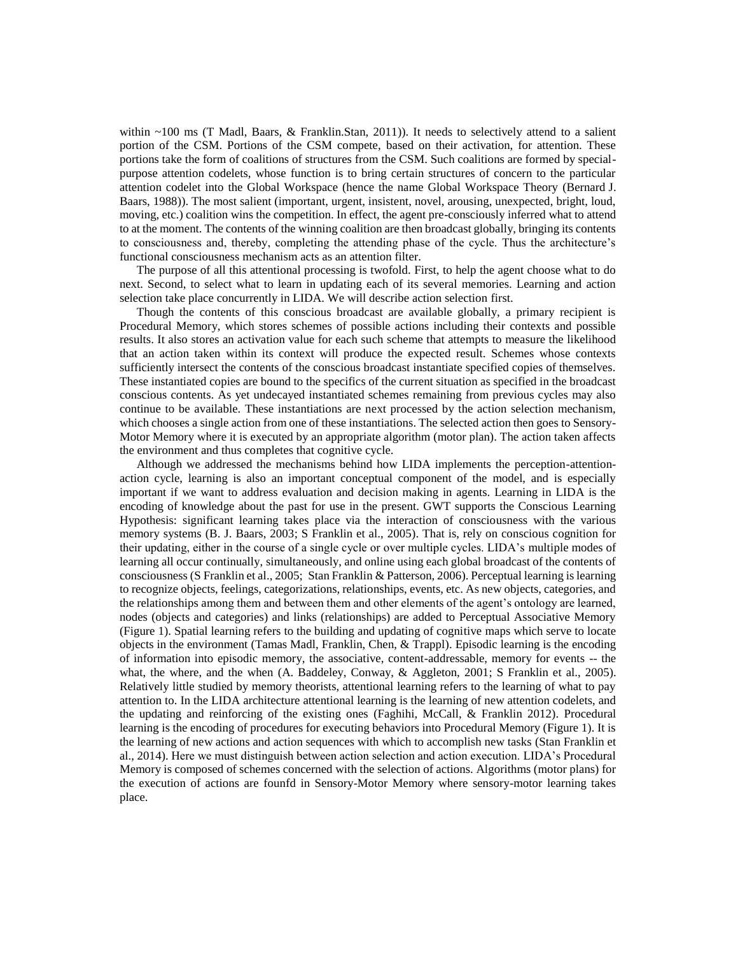within ~100 ms [\(T Madl, Baars, & Franklin.Stan, 2011\)](#page-20-13)). It needs to selectively attend to a salient portion of the CSM. Portions of the CSM compete, based on their activation, for attention. These portions take the form of coalitions of structures from the CSM. Such coalitions are formed by specialpurpose attention codelets, whose function is to bring certain structures of concern to the particular attention codelet into the Global Workspace (hence the name Global Workspace Theory [\(Bernard](#page-19-0) J. [Baars, 1988\)](#page-19-0)). The most salient (important, urgent, insistent, novel, arousing, unexpected, bright, loud, moving, etc.) coalition wins the competition. In effect, the agent pre-consciously inferred what to attend to at the moment. The contents of the winning coalition are then broadcast globally, bringing its contents to consciousness and, thereby, completing the attending phase of the cycle. Thus the architecture's functional consciousness mechanism acts as an attention filter.

The purpose of all this attentional processing is twofold. First, to help the agent choose what to do next. Second, to select what to learn in updating each of its several memories. Learning and action selection take place concurrently in LIDA. We will describe action selection first.

Though the contents of this conscious broadcast are available globally, a primary recipient is Procedural Memory, which stores schemes of possible actions including their contexts and possible results. It also stores an activation value for each such scheme that attempts to measure the likelihood that an action taken within its context will produce the expected result. Schemes whose contexts sufficiently intersect the contents of the conscious broadcast instantiate specified copies of themselves. These instantiated copies are bound to the specifics of the current situation as specified in the broadcast conscious contents. As yet undecayed instantiated schemes remaining from previous cycles may also continue to be available. These instantiations are next processed by the action selection mechanism, which chooses a single action from one of these instantiations. The selected action then goes to Sensory-Motor Memory where it is executed by an appropriate algorithm (motor plan). The action taken affects the environment and thus completes that cognitive cycle.

Although we addressed the mechanisms behind how LIDA implements the perception-attentionaction cycle, learning is also an important conceptual component of the model, and is especially important if we want to address evaluation and decision making in agents. Learning in LIDA is the encoding of knowledge about the past for use in the present. GWT supports the Conscious Learning Hypothesis: significant learning takes place via the interaction of consciousness with the various memory systems [\(B. J. Baars, 2003;](#page-19-8) [S Franklin et al., 2005\)](#page-19-6). That is, rely on conscious cognition for their updating, either in the course of a single cycle or over multiple cycles. LIDA's multiple modes of learning all occur continually, simultaneously, and online using each global broadcast of the contents of consciousness [\(S Franklin et al., 2005;](#page-19-6) [Stan Franklin & Patterson, 2006\)](#page-20-14). Perceptual learning is learning to recognize objects, feelings, categorizations, relationships, events, etc. As new objects, categories, and the relationships among them and between them and other elements of the agent's ontology are learned, nodes (objects and categories) and links (relationships) are added to Perceptual Associative Memory (Figure 1). Spatial learning refers to the building and updating of cognitive maps which serve to locate objects in the environment [\(Tamas Madl, Franklin, Chen, & Trappl\)](#page-20-15). Episodic learning is the encoding of information into episodic memory, the associative, content-addressable, memory for events -- the what, the where, and the when [\(A. Baddeley, Conway, & Aggleton, 2001;](#page-19-9) [S Franklin et al., 2005\)](#page-19-6). Relatively little studied by memory theorists, attentional learning refers to the learning of what to pay attention to. In the LIDA architecture attentional learning is the learning of new attention codelets, and the updating and reinforcing of the existing ones [\(Faghihi, McCall, & Franklin 2012\)](#page-19-10). Procedural learning is the encoding of procedures for executing behaviors into Procedural Memory (Figure 1). It is the learning of new actions and action sequences with which to accomplish new tasks [\(Stan Franklin et](#page-20-1)  [al., 2014](#page-20-1)). Here we must distinguish between action selection and action execution. LIDA's Procedural Memory is composed of schemes concerned with the selection of actions. Algorithms (motor plans) for the execution of actions are founfd in Sensory-Motor Memory where sensory-motor learning takes place.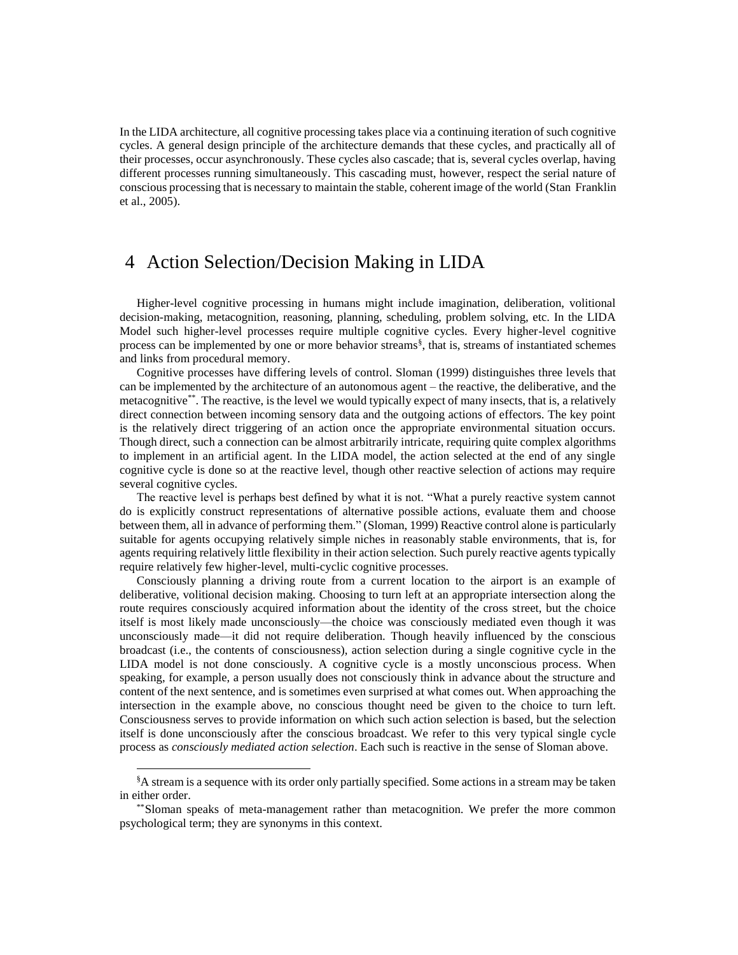In the LIDA architecture, all cognitive processing takes place via a continuing iteration of such cognitive cycles. A general design principle of the architecture demands that these cycles, and practically all of their processes, occur asynchronously. These cycles also cascade; that is, several cycles overlap, having different processes running simultaneously. This cascading must, however, respect the serial nature of conscious processing that is necessary to maintain the stable, coherent image of the world [\(Stan Franklin](#page-19-3)  [et al., 2005\)](#page-19-3).

### 4 Action Selection/Decision Making in LIDA

Higher-level cognitive processing in humans might include imagination, deliberation, volitional decision-making, metacognition, reasoning, planning, scheduling, problem solving, etc. In the LIDA Model such higher-level processes require multiple cognitive cycles. Every higher-level cognitive process can be implemented by one or more behavior streams§ , that is, streams of instantiated schemes and links from procedural memory.

Cognitive processes have differing levels of control. Sloman [\(1999\)](#page-21-4) distinguishes three levels that can be implemented by the architecture of an autonomous agent – the reactive, the deliberative, and the metacognitive\*\*. The reactive, is the level we would typically expect of many insects, that is, a relatively direct connection between incoming sensory data and the outgoing actions of effectors. The key point is the relatively direct triggering of an action once the appropriate environmental situation occurs. Though direct, such a connection can be almost arbitrarily intricate, requiring quite complex algorithms to implement in an artificial agent. In the LIDA model, the action selected at the end of any single cognitive cycle is done so at the reactive level, though other reactive selection of actions may require several cognitive cycles.

The reactive level is perhaps best defined by what it is not. "What a purely reactive system cannot do is explicitly construct representations of alternative possible actions, evaluate them and choose between them, all in advance of performing them." [\(Sloman, 1999\)](#page-21-4) Reactive control alone is particularly suitable for agents occupying relatively simple niches in reasonably stable environments, that is, for agents requiring relatively little flexibility in their action selection. Such purely reactive agents typically require relatively few higher-level, multi-cyclic cognitive processes.

Consciously planning a driving route from a current location to the airport is an example of deliberative, volitional decision making. Choosing to turn left at an appropriate intersection along the route requires consciously acquired information about the identity of the cross street, but the choice itself is most likely made unconsciously—the choice was consciously mediated even though it was unconsciously made—it did not require deliberation. Though heavily influenced by the conscious broadcast (i.e., the contents of consciousness), action selection during a single cognitive cycle in the LIDA model is not done consciously. A cognitive cycle is a mostly unconscious process. When speaking, for example, a person usually does not consciously think in advance about the structure and content of the next sentence, and is sometimes even surprised at what comes out. When approaching the intersection in the example above, no conscious thought need be given to the choice to turn left. Consciousness serves to provide information on which such action selection is based, but the selection itself is done unconsciously after the conscious broadcast. We refer to this very typical single cycle process as *consciously mediated action selection*. Each such is reactive in the sense of Sloman above.

l

<sup>§</sup>A stream is a sequence with its order only partially specified. Some actions in a stream may be taken in either order.

<sup>\*\*</sup>Sloman speaks of meta-management rather than metacognition. We prefer the more common psychological term; they are synonyms in this context.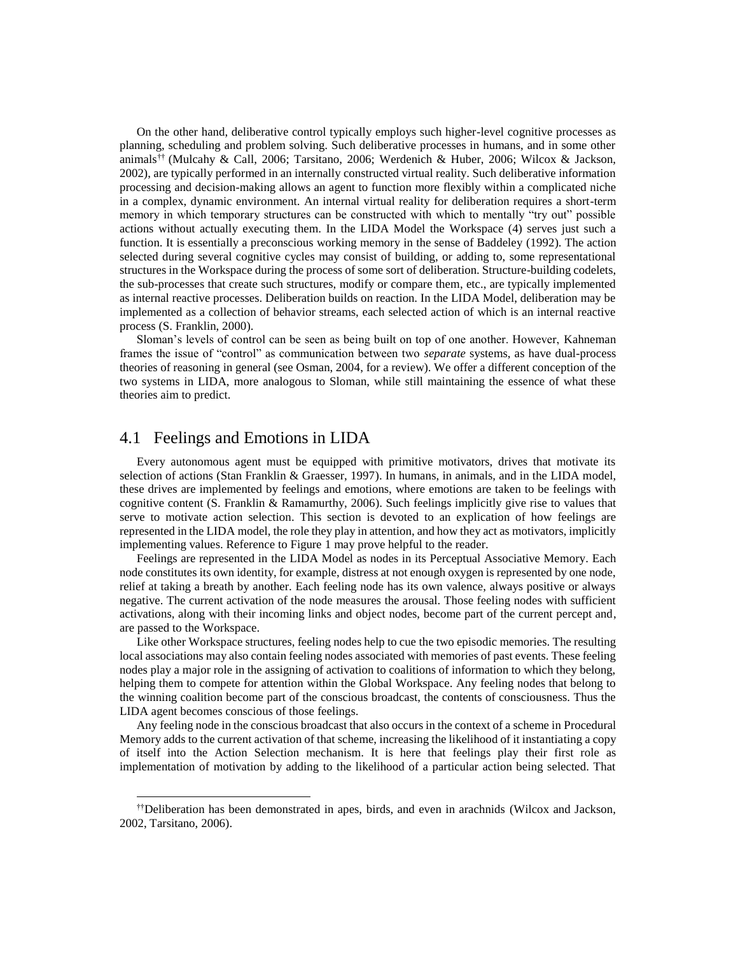On the other hand, deliberative control typically employs such higher-level cognitive processes as planning, scheduling and problem solving. Such deliberative processes in humans, and in some other animals†† [\(Mulcahy & Call, 2006;](#page-20-16) [Tarsitano, 2006;](#page-21-5) [Werdenich & Huber, 2006;](#page-21-6) [Wilcox & Jackson,](#page-21-7)  [2002\)](#page-21-7), are typically performed in an internally constructed virtual reality. Such deliberative information processing and decision-making allows an agent to function more flexibly within a complicated niche in a complex, dynamic environment. An internal virtual reality for deliberation requires a short-term memory in which temporary structures can be constructed with which to mentally "try out" possible actions without actually executing them. In the LIDA Model the Workspace (4) serves just such a function. It is essentially a preconscious working memory in the sense of Baddeley [\(1992\)](#page-19-11). The action selected during several cognitive cycles may consist of building, or adding to, some representational structures in the Workspace during the process of some sort of deliberation. Structure-building codelets, the sub-processes that create such structures, modify or compare them, etc., are typically implemented as internal reactive processes. Deliberation builds on reaction. In the LIDA Model, deliberation may be implemented as a collection of behavior streams, each selected action of which is an internal reactive process [\(S. Franklin, 2000\)](#page-19-12).

Sloman's levels of control can be seen as being built on top of one another. However, Kahneman frames the issue of "control" as communication between two *separate* systems, as have dual-process theories of reasoning in general (see Osman, 2004, for a review). We offer a different conception of the two systems in LIDA, more analogous to Sloman, while still maintaining the essence of what these theories aim to predict.

#### 4.1 Feelings and Emotions in LIDA

l

Every autonomous agent must be equipped with primitive motivators, drives that motivate its selection of actions [\(Stan Franklin & Graesser, 1997\)](#page-20-10). In humans, in animals, and in the LIDA model, these drives are implemented by feelings and emotions, where emotions are taken to be feelings with cognitive content [\(S. Franklin & Ramamurthy, 2006\)](#page-20-17). Such feelings implicitly give rise to values that serve to motivate action selection. This section is devoted to an explication of how feelings are represented in the LIDA model, the role they play in attention, and how they act as motivators, implicitly implementing values. Reference to Figure 1 may prove helpful to the reader.

Feelings are represented in the LIDA Model as nodes in its Perceptual Associative Memory. Each node constitutes its own identity, for example, distress at not enough oxygen is represented by one node, relief at taking a breath by another. Each feeling node has its own valence, always positive or always negative. The current activation of the node measures the arousal. Those feeling nodes with sufficient activations, along with their incoming links and object nodes, become part of the current percept and, are passed to the Workspace.

Like other Workspace structures, feeling nodes help to cue the two episodic memories. The resulting local associations may also contain feeling nodes associated with memories of past events. These feeling nodes play a major role in the assigning of activation to coalitions of information to which they belong, helping them to compete for attention within the Global Workspace. Any feeling nodes that belong to the winning coalition become part of the conscious broadcast, the contents of consciousness. Thus the LIDA agent becomes conscious of those feelings.

Any feeling node in the conscious broadcast that also occurs in the context of a scheme in Procedural Memory adds to the current activation of that scheme, increasing the likelihood of it instantiating a copy of itself into the Action Selection mechanism. It is here that feelings play their first role as implementation of motivation by adding to the likelihood of a particular action being selected. That

<sup>††</sup>Deliberation has been demonstrated in apes, birds, and even in arachnids (Wilcox and Jackson, 2002, Tarsitano, 2006).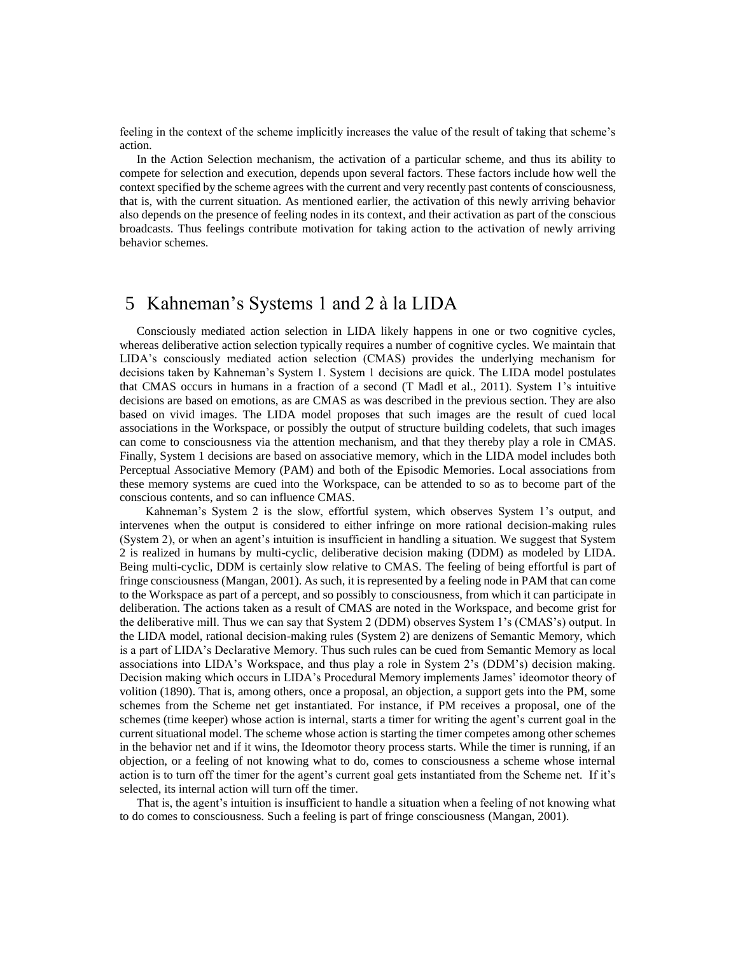feeling in the context of the scheme implicitly increases the value of the result of taking that scheme's action.

In the Action Selection mechanism, the activation of a particular scheme, and thus its ability to compete for selection and execution, depends upon several factors. These factors include how well the context specified by the scheme agrees with the current and very recently past contents of consciousness, that is, with the current situation. As mentioned earlier, the activation of this newly arriving behavior also depends on the presence of feeling nodes in its context, and their activation as part of the conscious broadcasts. Thus feelings contribute motivation for taking action to the activation of newly arriving behavior schemes.

#### 5 Kahneman's Systems 1 and 2 à la LIDA

Consciously mediated action selection in LIDA likely happens in one or two cognitive cycles, whereas deliberative action selection typically requires a number of cognitive cycles. We maintain that LIDA's consciously mediated action selection (CMAS) provides the underlying mechanism for decisions taken by Kahneman's System 1. System 1 decisions are quick. The LIDA model postulates that CMAS occurs in humans in a fraction of a second [\(T Madl et al., 2011\)](#page-20-13). System 1's intuitive decisions are based on emotions, as are CMAS as was described in the previous section. They are also based on vivid images. The LIDA model proposes that such images are the result of cued local associations in the Workspace, or possibly the output of structure building codelets, that such images can come to consciousness via the attention mechanism, and that they thereby play a role in CMAS. Finally, System 1 decisions are based on associative memory, which in the LIDA model includes both Perceptual Associative Memory (PAM) and both of the Episodic Memories. Local associations from these memory systems are cued into the Workspace, can be attended to so as to become part of the conscious contents, and so can influence CMAS.

Kahneman's System 2 is the slow, effortful system, which observes System 1's output, and intervenes when the output is considered to either infringe on more rational decision-making rules (System 2), or when an agent's intuition is insufficient in handling a situation. We suggest that System 2 is realized in humans by multi-cyclic, deliberative decision making (DDM) as modeled by LIDA. Being multi-cyclic, DDM is certainly slow relative to CMAS. The feeling of being effortful is part of fringe consciousness [\(Mangan, 2001\)](#page-20-18). As such, it is represented by a feeling node in PAM that can come to the Workspace as part of a percept, and so possibly to consciousness, from which it can participate in deliberation. The actions taken as a result of CMAS are noted in the Workspace, and become grist for the deliberative mill. Thus we can say that System 2 (DDM) observes System 1's (CMAS's) output. In the LIDA model, rational decision-making rules (System 2) are denizens of Semantic Memory, which is a part of LIDA's Declarative Memory. Thus such rules can be cued from Semantic Memory as local associations into LIDA's Workspace, and thus play a role in System 2's (DDM's) decision making. Decision making which occurs in LIDA's Procedural Memory implements James' ideomotor theory of volition [\(1890\)](#page-20-19). That is, among others, once a proposal, an objection, a support gets into the PM, some schemes from the Scheme net get instantiated. For instance, if PM receives a proposal, one of the schemes (time keeper) whose action is internal, starts a timer for writing the agent's current goal in the current situational model. The scheme whose action is starting the timer competes among other schemes in the behavior net and if it wins, the Ideomotor theory process starts. While the timer is running, if an objection, or a feeling of not knowing what to do, comes to consciousness a scheme whose internal action is to turn off the timer for the agent's current goal gets instantiated from the Scheme net. If it's selected, its internal action will turn off the timer.

That is, the agent's intuition is insufficient to handle a situation when a feeling of not knowing what to do comes to consciousness. Such a feeling is part of fringe consciousness [\(Mangan, 2001\)](#page-20-18).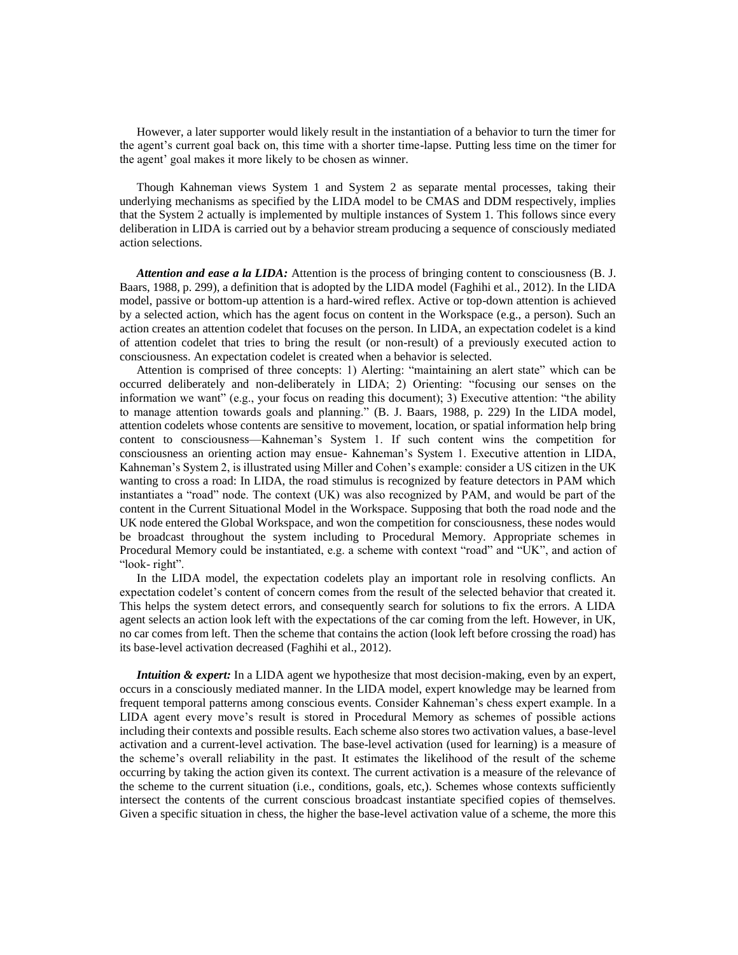However, a later supporter would likely result in the instantiation of a behavior to turn the timer for the agent's current goal back on, this time with a shorter time-lapse. Putting less time on the timer for the agent' goal makes it more likely to be chosen as winner.

Though Kahneman views System 1 and System 2 as separate mental processes, taking their underlying mechanisms as specified by the LIDA model to be CMAS and DDM respectively, implies that the System 2 actually is implemented by multiple instances of System 1. This follows since every deliberation in LIDA is carried out by a behavior stream producing a sequence of consciously mediated action selections.

*Attention and ease a la LIDA:* Attention is the process of bringing content to consciousness (B. J. Baars, 1988, p. 299), a definition that is adopted by the LIDA model [\(Faghihi et al., 2012\)](#page-19-10). In the LIDA model, passive or bottom-up attention is a hard-wired reflex. Active or top-down attention is achieved by a selected action, which has the agent focus on content in the Workspace (e.g., a person). Such an action creates an attention codelet that focuses on the person. In LIDA, an expectation codelet is a kind of attention codelet that tries to bring the result (or non-result) of a previously executed action to consciousness. An expectation codelet is created when a behavior is selected.

Attention is comprised of three concepts: 1) Alerting: "maintaining an alert state" which can be occurred deliberately and non-deliberately in LIDA; 2) Orienting: "focusing our senses on the information we want" (e.g., your focus on reading this document); 3) Executive attention: "the ability to manage attention towards goals and planning." (B. J. Baars, 1988, p. 229) In the LIDA model, attention codelets whose contents are sensitive to movement, location, or spatial information help bring content to consciousness—Kahneman's System 1. If such content wins the competition for consciousness an orienting action may ensue- Kahneman's System 1. Executive attention in LIDA, Kahneman's System 2, is illustrated using Miller and Cohen's example: consider a US citizen in the UK wanting to cross a road: In LIDA, the road stimulus is recognized by feature detectors in PAM which instantiates a "road" node. The context (UK) was also recognized by PAM, and would be part of the content in the Current Situational Model in the Workspace. Supposing that both the road node and the UK node entered the Global Workspace, and won the competition for consciousness, these nodes would be broadcast throughout the system including to Procedural Memory. Appropriate schemes in Procedural Memory could be instantiated, e.g. a scheme with context "road" and "UK", and action of "look- right".

In the LIDA model, the expectation codelets play an important role in resolving conflicts. An expectation codelet's content of concern comes from the result of the selected behavior that created it. This helps the system detect errors, and consequently search for solutions to fix the errors. A LIDA agent selects an action look left with the expectations of the car coming from the left. However, in UK, no car comes from left. Then the scheme that contains the action (look left before crossing the road) has its base-level activation decreased [\(Faghihi et al., 2012\)](#page-19-10).

*Intuition & expert:* In a LIDA agent we hypothesize that most decision-making, even by an expert, occurs in a consciously mediated manner. In the LIDA model, expert knowledge may be learned from frequent temporal patterns among conscious events. Consider Kahneman's chess expert example. In a LIDA agent every move's result is stored in Procedural Memory as schemes of possible actions including their contexts and possible results. Each scheme also stores two activation values, a base-level activation and a current-level activation. The base-level activation (used for learning) is a measure of the scheme's overall reliability in the past. It estimates the likelihood of the result of the scheme occurring by taking the action given its context. The current activation is a measure of the relevance of the scheme to the current situation (i.e., conditions, goals, etc,). Schemes whose contexts sufficiently intersect the contents of the current conscious broadcast instantiate specified copies of themselves. Given a specific situation in chess, the higher the base-level activation value of a scheme, the more this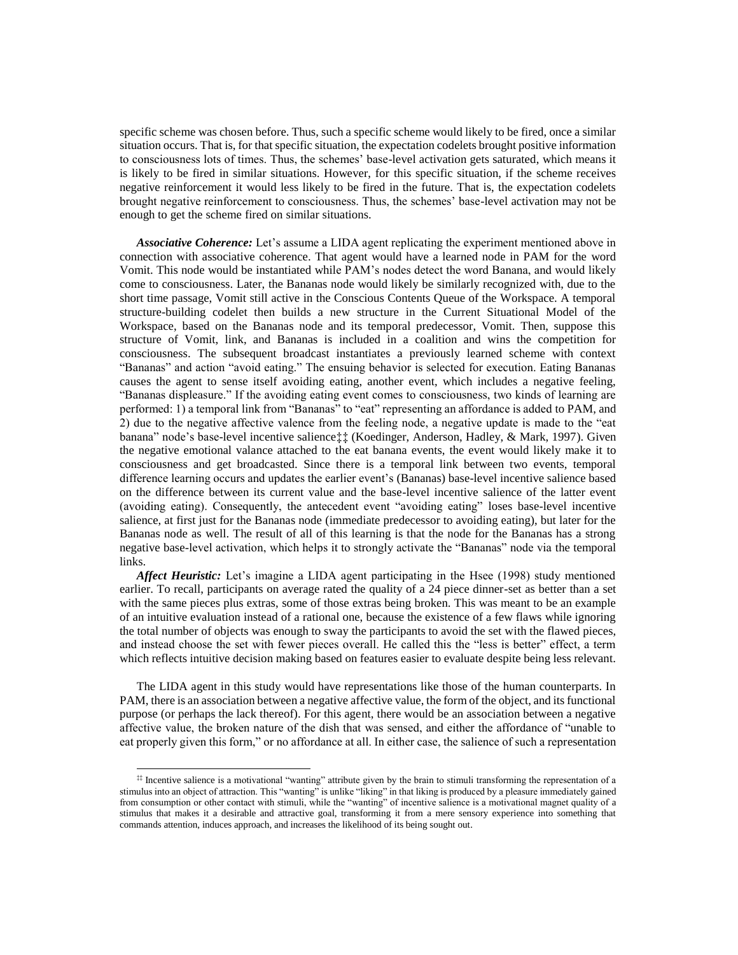specific scheme was chosen before. Thus, such a specific scheme would likely to be fired, once a similar situation occurs. That is, for that specific situation, the expectation codelets brought positive information to consciousness lots of times. Thus, the schemes' base-level activation gets saturated, which means it is likely to be fired in similar situations. However, for this specific situation, if the scheme receives negative reinforcement it would less likely to be fired in the future. That is, the expectation codelets brought negative reinforcement to consciousness. Thus, the schemes' base-level activation may not be enough to get the scheme fired on similar situations.

*Associative Coherence:* Let's assume a LIDA agent replicating the experiment mentioned above in connection with associative coherence. That agent would have a learned node in PAM for the word Vomit. This node would be instantiated while PAM's nodes detect the word Banana, and would likely come to consciousness. Later, the Bananas node would likely be similarly recognized with, due to the short time passage, Vomit still active in the Conscious Contents Queue of the Workspace. A temporal structure-building codelet then builds a new structure in the Current Situational Model of the Workspace, based on the Bananas node and its temporal predecessor, Vomit. Then, suppose this structure of Vomit, link, and Bananas is included in a coalition and wins the competition for consciousness. The subsequent broadcast instantiates a previously learned scheme with context "Bananas" and action "avoid eating." The ensuing behavior is selected for execution. Eating Bananas causes the agent to sense itself avoiding eating, another event, which includes a negative feeling, "Bananas displeasure." If the avoiding eating event comes to consciousness, two kinds of learning are performed: 1) a temporal link from "Bananas" to "eat" representing an affordance is added to PAM, and 2) due to the negative affective valence from the feeling node, a negative update is made to the "eat banana" node's base-level incentive salience‡‡ [\(Koedinger, Anderson, Hadley, & Mark, 1997\)](#page-20-20). Given the negative emotional valance attached to the eat banana events, the event would likely make it to consciousness and get broadcasted. Since there is a temporal link between two events, temporal difference learning occurs and updates the earlier event's (Bananas) base-level incentive salience based on the difference between its current value and the base-level incentive salience of the latter event (avoiding eating). Consequently, the antecedent event "avoiding eating" loses base-level incentive salience, at first just for the Bananas node (immediate predecessor to avoiding eating), but later for the Bananas node as well. The result of all of this learning is that the node for the Bananas has a strong negative base-level activation, which helps it to strongly activate the "Bananas" node via the temporal links.

*Affect Heuristic:* Let's imagine a LIDA agent participating in the Hsee (1998) study mentioned earlier. To recall, participants on average rated the quality of a 24 piece dinner-set as better than a set with the same pieces plus extras, some of those extras being broken. This was meant to be an example of an intuitive evaluation instead of a rational one, because the existence of a few flaws while ignoring the total number of objects was enough to sway the participants to avoid the set with the flawed pieces, and instead choose the set with fewer pieces overall. He called this the "less is better" effect, a term which reflects intuitive decision making based on features easier to evaluate despite being less relevant.

The LIDA agent in this study would have representations like those of the human counterparts. In PAM, there is an association between a negative affective value, the form of the object, and its functional purpose (or perhaps the lack thereof). For this agent, there would be an association between a negative affective value, the broken nature of the dish that was sensed, and either the affordance of "unable to eat properly given this form," or no affordance at all. In either case, the salience of such a representation

l

<sup>‡‡</sup> Incentive salience is a motivational "wanting" attribute given by the brain to stimuli transforming the representation of a stimulus into an object of attraction. This "wanting" is unlike "liking" in that liking is produced by a pleasure immediately gained from consumption or other contact with stimuli, while the "wanting" of incentive salience is a motivational magnet quality of a stimulus that makes it a desirable and attractive goal, transforming it from a mere sensory experience into something that commands attention, induces approach, and increases the likelihood of its being sought out.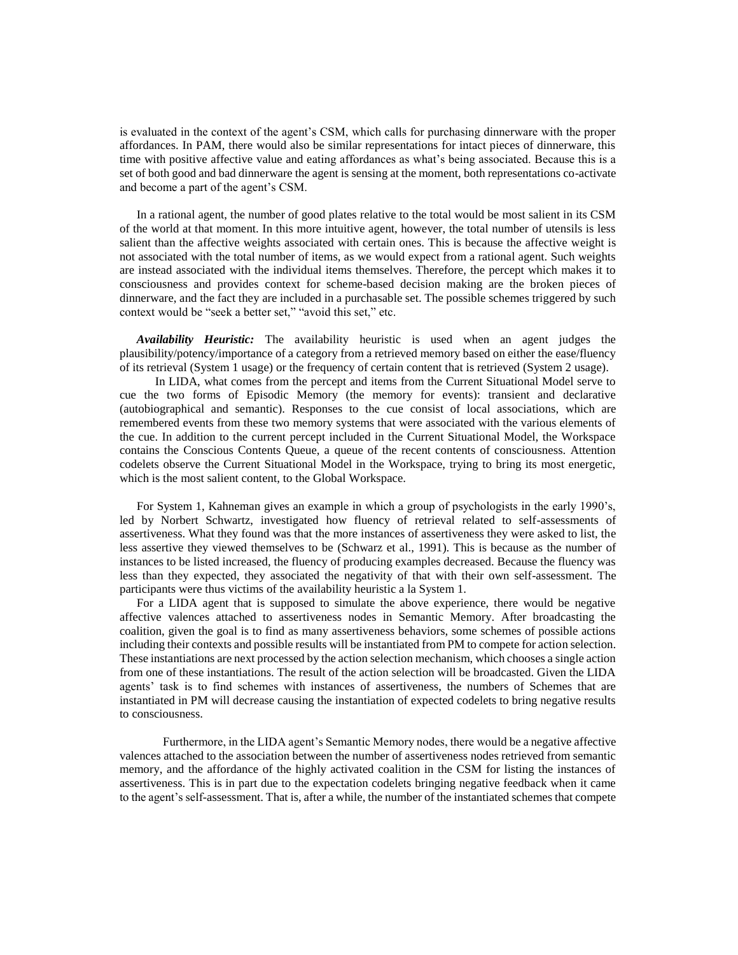is evaluated in the context of the agent's CSM, which calls for purchasing dinnerware with the proper affordances. In PAM, there would also be similar representations for intact pieces of dinnerware, this time with positive affective value and eating affordances as what's being associated. Because this is a set of both good and bad dinnerware the agent is sensing at the moment, both representations co-activate and become a part of the agent's CSM.

In a rational agent, the number of good plates relative to the total would be most salient in its CSM of the world at that moment. In this more intuitive agent, however, the total number of utensils is less salient than the affective weights associated with certain ones. This is because the affective weight is not associated with the total number of items, as we would expect from a rational agent. Such weights are instead associated with the individual items themselves. Therefore, the percept which makes it to consciousness and provides context for scheme-based decision making are the broken pieces of dinnerware, and the fact they are included in a purchasable set. The possible schemes triggered by such context would be "seek a better set," "avoid this set," etc.

*Availability Heuristic:* The availability heuristic is used when an agent judges the plausibility/potency/importance of a category from a retrieved memory based on either the ease/fluency of its retrieval (System 1 usage) or the frequency of certain content that is retrieved (System 2 usage).

In LIDA, what comes from the percept and items from the Current Situational Model serve to cue the two forms of Episodic Memory (the memory for events): transient and declarative (autobiographical and semantic). Responses to the cue consist of local associations, which are remembered events from these two memory systems that were associated with the various elements of the cue. In addition to the current percept included in the Current Situational Model, the Workspace contains the Conscious Contents Queue, a queue of the recent contents of consciousness. Attention codelets observe the Current Situational Model in the Workspace, trying to bring its most energetic, which is the most salient content, to the Global Workspace.

For System 1, Kahneman gives an example in which a group of psychologists in the early 1990's, led by Norbert Schwartz, investigated how fluency of retrieval related to self-assessments of assertiveness. What they found was that the more instances of assertiveness they were asked to list, the less assertive they viewed themselves to be [\(Schwarz et al., 1991\)](#page-21-3). This is because as the number of instances to be listed increased, the fluency of producing examples decreased. Because the fluency was less than they expected, they associated the negativity of that with their own self-assessment. The participants were thus victims of the availability heuristic a la System 1.

For a LIDA agent that is supposed to simulate the above experience, there would be negative affective valences attached to assertiveness nodes in Semantic Memory. After broadcasting the coalition, given the goal is to find as many assertiveness behaviors, some schemes of possible actions including their contexts and possible results will be instantiated from PM to compete for action selection. These instantiations are next processed by the action selection mechanism, which chooses a single action from one of these instantiations. The result of the action selection will be broadcasted. Given the LIDA agents' task is to find schemes with instances of assertiveness, the numbers of Schemes that are instantiated in PM will decrease causing the instantiation of expected codelets to bring negative results to consciousness.

Furthermore, in the LIDA agent's Semantic Memory nodes, there would be a negative affective valences attached to the association between the number of assertiveness nodes retrieved from semantic memory, and the affordance of the highly activated coalition in the CSM for listing the instances of assertiveness. This is in part due to the expectation codelets bringing negative feedback when it came to the agent's self-assessment. That is, after a while, the number of the instantiated schemes that compete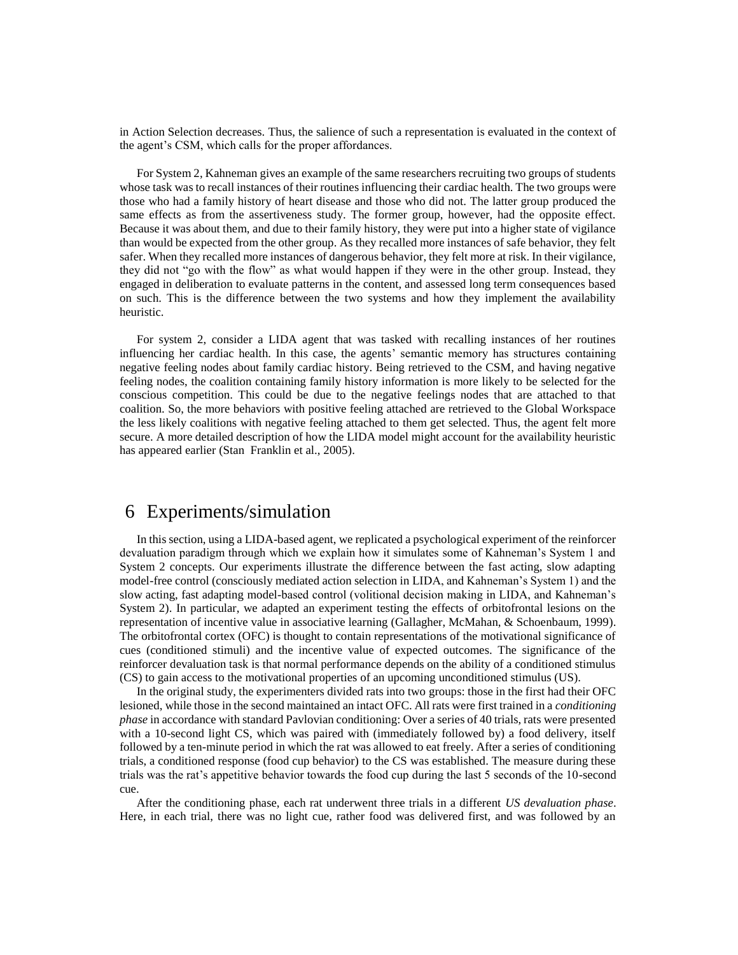in Action Selection decreases. Thus, the salience of such a representation is evaluated in the context of the agent's CSM, which calls for the proper affordances.

For System 2, Kahneman gives an example of the same researchers recruiting two groups of students whose task was to recall instances of their routines influencing their cardiac health. The two groups were those who had a family history of heart disease and those who did not. The latter group produced the same effects as from the assertiveness study. The former group, however, had the opposite effect. Because it was about them, and due to their family history, they were put into a higher state of vigilance than would be expected from the other group. As they recalled more instances of safe behavior, they felt safer. When they recalled more instances of dangerous behavior, they felt more at risk. In their vigilance, they did not "go with the flow" as what would happen if they were in the other group. Instead, they engaged in deliberation to evaluate patterns in the content, and assessed long term consequences based on such. This is the difference between the two systems and how they implement the availability heuristic.

For system 2, consider a LIDA agent that was tasked with recalling instances of her routines influencing her cardiac health. In this case, the agents' semantic memory has structures containing negative feeling nodes about family cardiac history. Being retrieved to the CSM, and having negative feeling nodes, the coalition containing family history information is more likely to be selected for the conscious competition. This could be due to the negative feelings nodes that are attached to that coalition. So, the more behaviors with positive feeling attached are retrieved to the Global Workspace the less likely coalitions with negative feeling attached to them get selected. Thus, the agent felt more secure. A more detailed description of how the LIDA model might account for the availability heuristic has appeared earlier [\(Stan Franklin et al., 2005\)](#page-19-3).

#### 6 Experiments/simulation

In this section, using a LIDA-based agent, we replicated a psychological experiment of the reinforcer devaluation paradigm through which we explain how it simulates some of Kahneman's System 1 and System 2 concepts. Our experiments illustrate the difference between the fast acting, slow adapting model-free control (consciously mediated action selection in LIDA, and Kahneman's System 1) and the slow acting, fast adapting model-based control (volitional decision making in LIDA, and Kahneman's System 2). In particular, we adapted an experiment testing the effects of orbitofrontal lesions on the representation of incentive value in associative learning [\(Gallagher, McMahan, & Schoenbaum, 1999\)](#page-20-21). The orbitofrontal cortex (OFC) is thought to contain representations of the motivational significance of cues (conditioned stimuli) and the incentive value of expected outcomes. The significance of the reinforcer devaluation task is that normal performance depends on the ability of a conditioned stimulus (CS) to gain access to the motivational properties of an upcoming unconditioned stimulus (US).

In the original study, the experimenters divided rats into two groups: those in the first had their OFC lesioned, while those in the second maintained an intact OFC. All rats were first trained in a *conditioning phase* in accordance with standard Pavlovian conditioning: Over a series of 40 trials, rats were presented with a 10-second light CS, which was paired with (immediately followed by) a food delivery, itself followed by a ten-minute period in which the rat was allowed to eat freely. After a series of conditioning trials, a conditioned response (food cup behavior) to the CS was established. The measure during these trials was the rat's appetitive behavior towards the food cup during the last 5 seconds of the 10-second cue.

After the conditioning phase, each rat underwent three trials in a different *US devaluation phase*. Here, in each trial, there was no light cue, rather food was delivered first, and was followed by an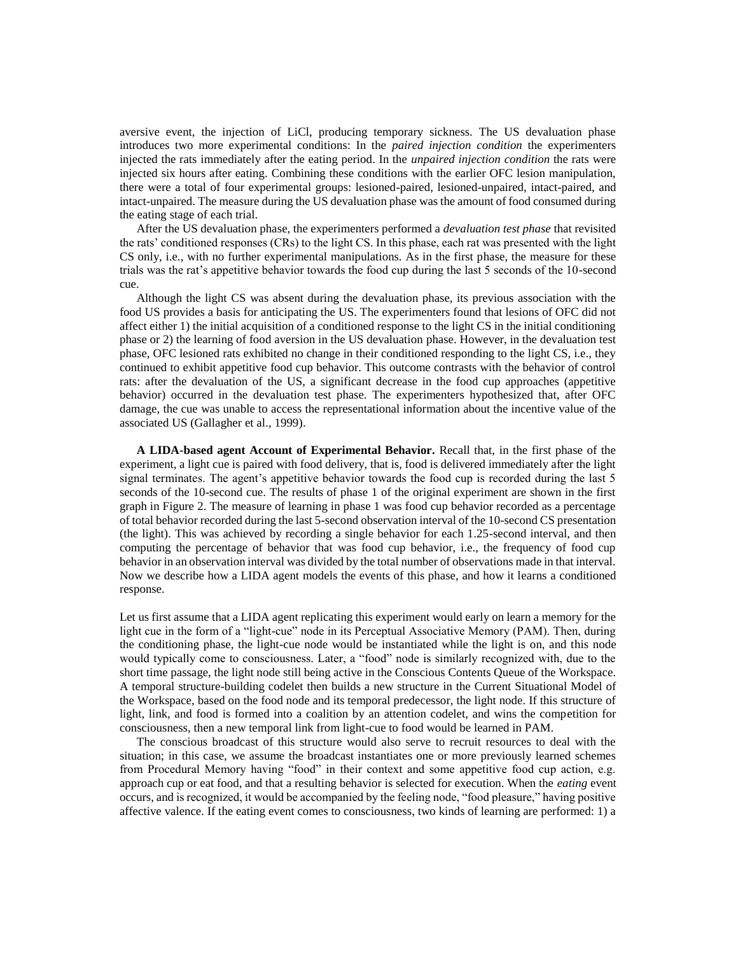aversive event, the injection of LiCl, producing temporary sickness. The US devaluation phase introduces two more experimental conditions: In the *paired injection condition* the experimenters injected the rats immediately after the eating period. In the *unpaired injection condition* the rats were injected six hours after eating. Combining these conditions with the earlier OFC lesion manipulation, there were a total of four experimental groups: lesioned-paired, lesioned-unpaired, intact-paired, and intact-unpaired. The measure during the US devaluation phase was the amount of food consumed during the eating stage of each trial.

After the US devaluation phase, the experimenters performed a *devaluation test phase* that revisited the rats' conditioned responses (CRs) to the light CS. In this phase, each rat was presented with the light CS only, i.e., with no further experimental manipulations. As in the first phase, the measure for these trials was the rat's appetitive behavior towards the food cup during the last 5 seconds of the 10-second cue.

Although the light CS was absent during the devaluation phase, its previous association with the food US provides a basis for anticipating the US. The experimenters found that lesions of OFC did not affect either 1) the initial acquisition of a conditioned response to the light CS in the initial conditioning phase or 2) the learning of food aversion in the US devaluation phase. However, in the devaluation test phase, OFC lesioned rats exhibited no change in their conditioned responding to the light CS, i.e., they continued to exhibit appetitive food cup behavior. This outcome contrasts with the behavior of control rats: after the devaluation of the US, a significant decrease in the food cup approaches (appetitive behavior) occurred in the devaluation test phase. The experimenters hypothesized that, after OFC damage, the cue was unable to access the representational information about the incentive value of the associated US (Gallagher [et al., 1999\)](#page-20-21).

**A LIDA-based agent Account of Experimental Behavior.** Recall that, in the first phase of the experiment, a light cue is paired with food delivery, that is, food is delivered immediately after the light signal terminates. The agent's appetitive behavior towards the food cup is recorded during the last 5 seconds of the 10-second cue. The results of phase 1 of the original experiment are shown in the first graph in Figure 2. The measure of learning in phase 1 was food cup behavior recorded as a percentage of total behavior recorded during the last 5-second observation interval of the 10-second CS presentation (the light). This was achieved by recording a single behavior for each 1.25-second interval, and then computing the percentage of behavior that was food cup behavior, i.e., the frequency of food cup behavior in an observation interval was divided by the total number of observations made in that interval. Now we describe how a LIDA agent models the events of this phase, and how it learns a conditioned response.

Let us first assume that a LIDA agent replicating this experiment would early on learn a memory for the light cue in the form of a "light-cue" node in its Perceptual Associative Memory (PAM). Then, during the conditioning phase, the light-cue node would be instantiated while the light is on, and this node would typically come to consciousness. Later, a "food" node is similarly recognized with, due to the short time passage, the light node still being active in the Conscious Contents Queue of the Workspace. A temporal structure-building codelet then builds a new structure in the Current Situational Model of the Workspace, based on the food node and its temporal predecessor, the light node. If this structure of light, link, and food is formed into a coalition by an attention codelet, and wins the competition for consciousness, then a new temporal link from light-cue to food would be learned in PAM.

The conscious broadcast of this structure would also serve to recruit resources to deal with the situation; in this case, we assume the broadcast instantiates one or more previously learned schemes from Procedural Memory having "food" in their context and some appetitive food cup action, e.g. approach cup or eat food, and that a resulting behavior is selected for execution. When the *eating* event occurs, and is recognized, it would be accompanied by the feeling node, "food pleasure," having positive affective valence. If the eating event comes to consciousness, two kinds of learning are performed: 1) a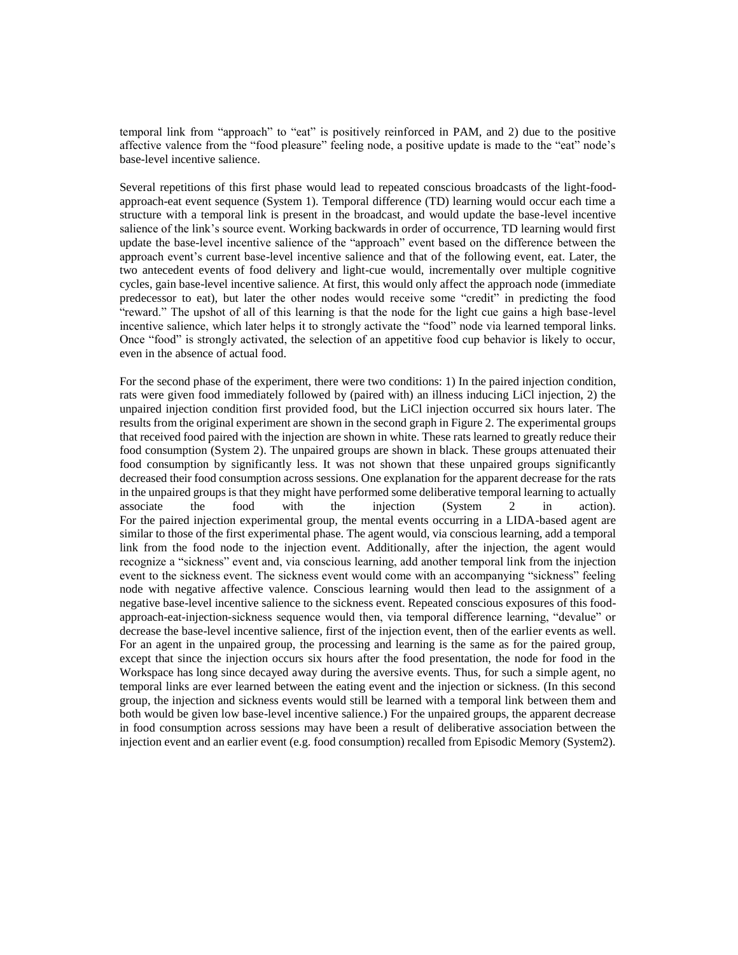temporal link from "approach" to "eat" is positively reinforced in PAM, and 2) due to the positive affective valence from the "food pleasure" feeling node, a positive update is made to the "eat" node's base-level incentive salience.

Several repetitions of this first phase would lead to repeated conscious broadcasts of the light-foodapproach-eat event sequence (System 1). Temporal difference (TD) learning would occur each time a structure with a temporal link is present in the broadcast, and would update the base-level incentive salience of the link's source event. Working backwards in order of occurrence, TD learning would first update the base-level incentive salience of the "approach" event based on the difference between the approach event's current base-level incentive salience and that of the following event, eat. Later, the two antecedent events of food delivery and light-cue would, incrementally over multiple cognitive cycles, gain base-level incentive salience. At first, this would only affect the approach node (immediate predecessor to eat), but later the other nodes would receive some "credit" in predicting the food "reward." The upshot of all of this learning is that the node for the light cue gains a high base-level incentive salience, which later helps it to strongly activate the "food" node via learned temporal links. Once "food" is strongly activated, the selection of an appetitive food cup behavior is likely to occur, even in the absence of actual food.

For the second phase of the experiment, there were two conditions: 1) In the paired injection condition, rats were given food immediately followed by (paired with) an illness inducing LiCl injection, 2) the unpaired injection condition first provided food, but the LiCl injection occurred six hours later. The results from the original experiment are shown in the second graph in Figure 2. The experimental groups that received food paired with the injection are shown in white. These rats learned to greatly reduce their food consumption (System 2). The unpaired groups are shown in black. These groups attenuated their food consumption by significantly less. It was not shown that these unpaired groups significantly decreased their food consumption across sessions. One explanation for the apparent decrease for the rats in the unpaired groups is that they might have performed some deliberative temporal learning to actually associate the food with the injection (System 2 in action). For the paired injection experimental group, the mental events occurring in a LIDA-based agent are similar to those of the first experimental phase. The agent would, via conscious learning, add a temporal link from the food node to the injection event. Additionally, after the injection, the agent would recognize a "sickness" event and, via conscious learning, add another temporal link from the injection event to the sickness event. The sickness event would come with an accompanying "sickness" feeling node with negative affective valence. Conscious learning would then lead to the assignment of a negative base-level incentive salience to the sickness event. Repeated conscious exposures of this foodapproach-eat-injection-sickness sequence would then, via temporal difference learning, "devalue" or decrease the base-level incentive salience, first of the injection event, then of the earlier events as well. For an agent in the unpaired group, the processing and learning is the same as for the paired group, except that since the injection occurs six hours after the food presentation, the node for food in the Workspace has long since decayed away during the aversive events. Thus, for such a simple agent, no temporal links are ever learned between the eating event and the injection or sickness. (In this second group, the injection and sickness events would still be learned with a temporal link between them and both would be given low base-level incentive salience.) For the unpaired groups, the apparent decrease in food consumption across sessions may have been a result of deliberative association between the injection event and an earlier event (e.g. food consumption) recalled from Episodic Memory (System2).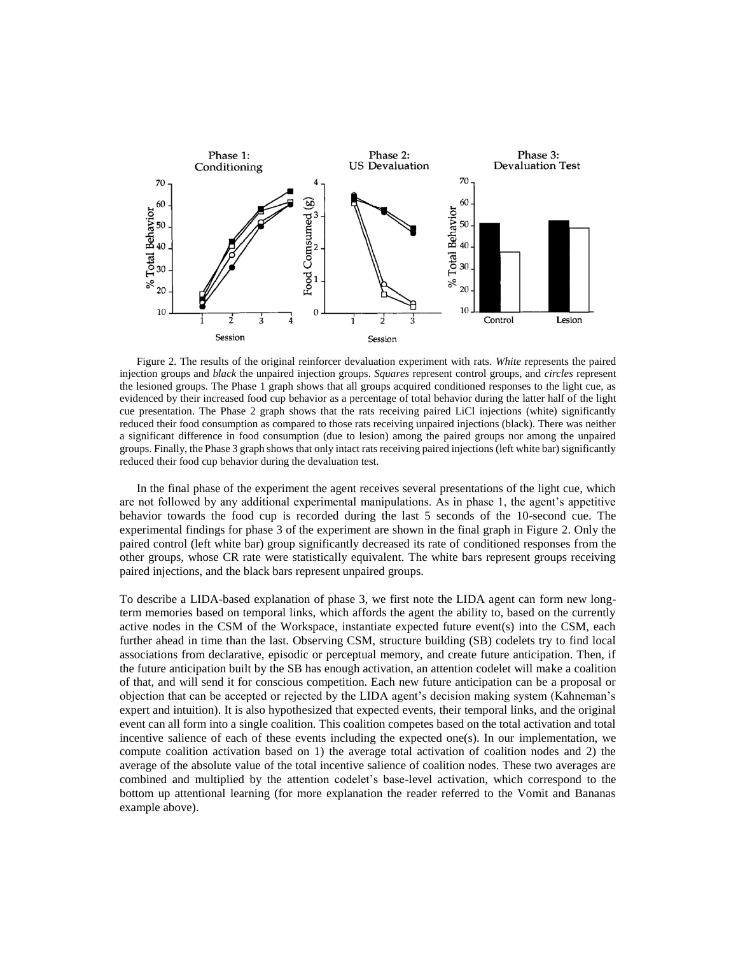

Figure 2. The results of the original reinforcer devaluation experiment with rats. *White* represents the paired injection groups and *black* the unpaired injection groups. *Squares* represent control groups, and *circles* represent the lesioned groups. The Phase 1 graph shows that all groups acquired conditioned responses to the light cue, as evidenced by their increased food cup behavior as a percentage of total behavior during the latter half of the light cue presentation. The Phase 2 graph shows that the rats receiving paired LiCl injections (white) significantly reduced their food consumption as compared to those rats receiving unpaired injections (black). There was neither a significant difference in food consumption (due to lesion) among the paired groups nor among the unpaired groups. Finally, the Phase 3 graph shows that only intact rats receiving paired injections (left white bar) significantly reduced their food cup behavior during the devaluation test.

In the final phase of the experiment the agent receives several presentations of the light cue, which are not followed by any additional experimental manipulations. As in phase 1, the agent's appetitive behavior towards the food cup is recorded during the last 5 seconds of the 10-second cue. The experimental findings for phase 3 of the experiment are shown in the final graph in Figure 2. Only the paired control (left white bar) group significantly decreased its rate of conditioned responses from the other groups, whose CR rate were statistically equivalent. The white bars represent groups receiving paired injections, and the black bars represent unpaired groups.

To describe a LIDA-based explanation of phase 3, we first note the LIDA agent can form new longterm memories based on temporal links, which affords the agent the ability to, based on the currently active nodes in the CSM of the Workspace, instantiate expected future event(s) into the CSM, each further ahead in time than the last. Observing CSM, structure building (SB) codelets try to find local associations from declarative, episodic or perceptual memory, and create future anticipation. Then, if the future anticipation built by the SB has enough activation, an attention codelet will make a coalition of that, and will send it for conscious competition. Each new future anticipation can be a proposal or objection that can be accepted or rejected by the LIDA agent's decision making system (Kahneman's expert and intuition). It is also hypothesized that expected events, their temporal links, and the original event can all form into a single coalition. This coalition competes based on the total activation and total incentive salience of each of these events including the expected one(s). In our implementation, we compute coalition activation based on 1) the average total activation of coalition nodes and 2) the average of the absolute value of the total incentive salience of coalition nodes. These two averages are combined and multiplied by the attention codelet's base-level activation, which correspond to the bottom up attentional learning (for more explanation the reader referred to the Vomit and Bananas example above).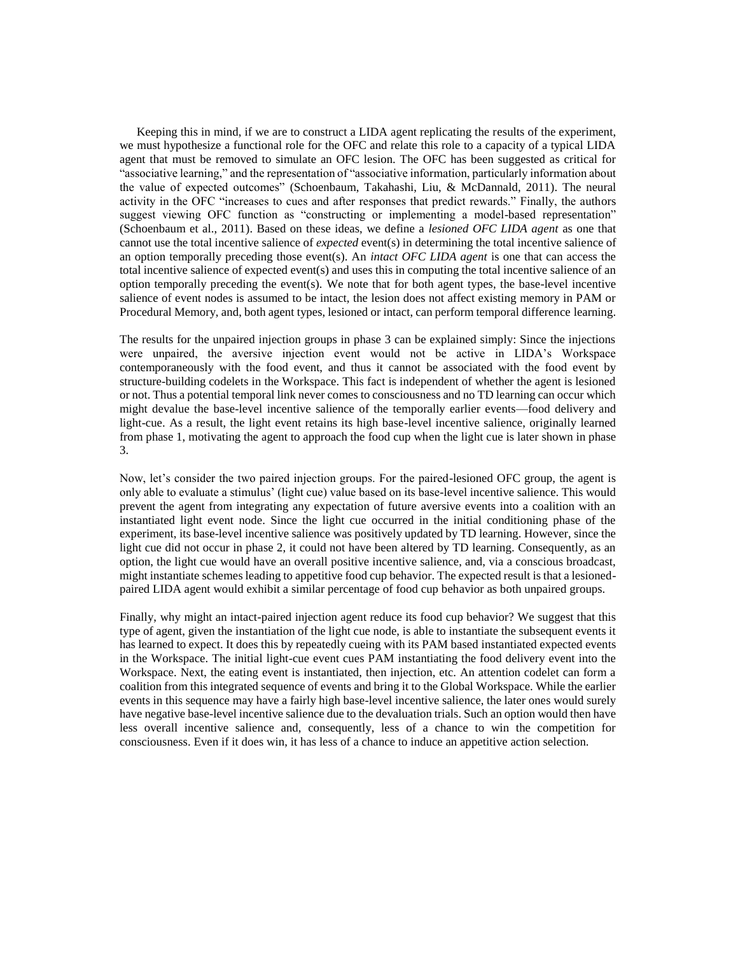Keeping this in mind, if we are to construct a LIDA agent replicating the results of the experiment, we must hypothesize a functional role for the OFC and relate this role to a capacity of a typical LIDA agent that must be removed to simulate an OFC lesion. The OFC has been suggested as critical for "associative learning," and the representation of "associative information, particularly information about the value of expected outcomes" [\(Schoenbaum, Takahashi, Liu, & McDannald, 2011\)](#page-20-22). The neural activity in the OFC "increases to cues and after responses that predict rewards." Finally, the authors suggest viewing OFC function as "constructing or implementing a model-based representation" [\(Schoenbaum et al., 2011\)](#page-20-22). Based on these ideas, we define a *lesioned OFC LIDA agent* as one that cannot use the total incentive salience of *expected* event(s) in determining the total incentive salience of an option temporally preceding those event(s). An *intact OFC LIDA agent* is one that can access the total incentive salience of expected event(s) and uses this in computing the total incentive salience of an option temporally preceding the event(s). We note that for both agent types, the base-level incentive salience of event nodes is assumed to be intact, the lesion does not affect existing memory in PAM or Procedural Memory, and, both agent types, lesioned or intact, can perform temporal difference learning.

The results for the unpaired injection groups in phase 3 can be explained simply: Since the injections were unpaired, the aversive injection event would not be active in LIDA's Workspace contemporaneously with the food event, and thus it cannot be associated with the food event by structure-building codelets in the Workspace. This fact is independent of whether the agent is lesioned or not. Thus a potential temporal link never comes to consciousness and no TD learning can occur which might devalue the base-level incentive salience of the temporally earlier events—food delivery and light-cue. As a result, the light event retains its high base-level incentive salience, originally learned from phase 1, motivating the agent to approach the food cup when the light cue is later shown in phase 3.

Now, let's consider the two paired injection groups. For the paired-lesioned OFC group, the agent is only able to evaluate a stimulus' (light cue) value based on its base-level incentive salience. This would prevent the agent from integrating any expectation of future aversive events into a coalition with an instantiated light event node. Since the light cue occurred in the initial conditioning phase of the experiment, its base-level incentive salience was positively updated by TD learning. However, since the light cue did not occur in phase 2, it could not have been altered by TD learning. Consequently, as an option, the light cue would have an overall positive incentive salience, and, via a conscious broadcast, might instantiate schemes leading to appetitive food cup behavior. The expected result is that a lesionedpaired LIDA agent would exhibit a similar percentage of food cup behavior as both unpaired groups.

Finally, why might an intact-paired injection agent reduce its food cup behavior? We suggest that this type of agent, given the instantiation of the light cue node, is able to instantiate the subsequent events it has learned to expect. It does this by repeatedly cueing with its PAM based instantiated expected events in the Workspace. The initial light-cue event cues PAM instantiating the food delivery event into the Workspace. Next, the eating event is instantiated, then injection, etc. An attention codelet can form a coalition from this integrated sequence of events and bring it to the Global Workspace. While the earlier events in this sequence may have a fairly high base-level incentive salience, the later ones would surely have negative base-level incentive salience due to the devaluation trials. Such an option would then have less overall incentive salience and, consequently, less of a chance to win the competition for consciousness. Even if it does win, it has less of a chance to induce an appetitive action selection.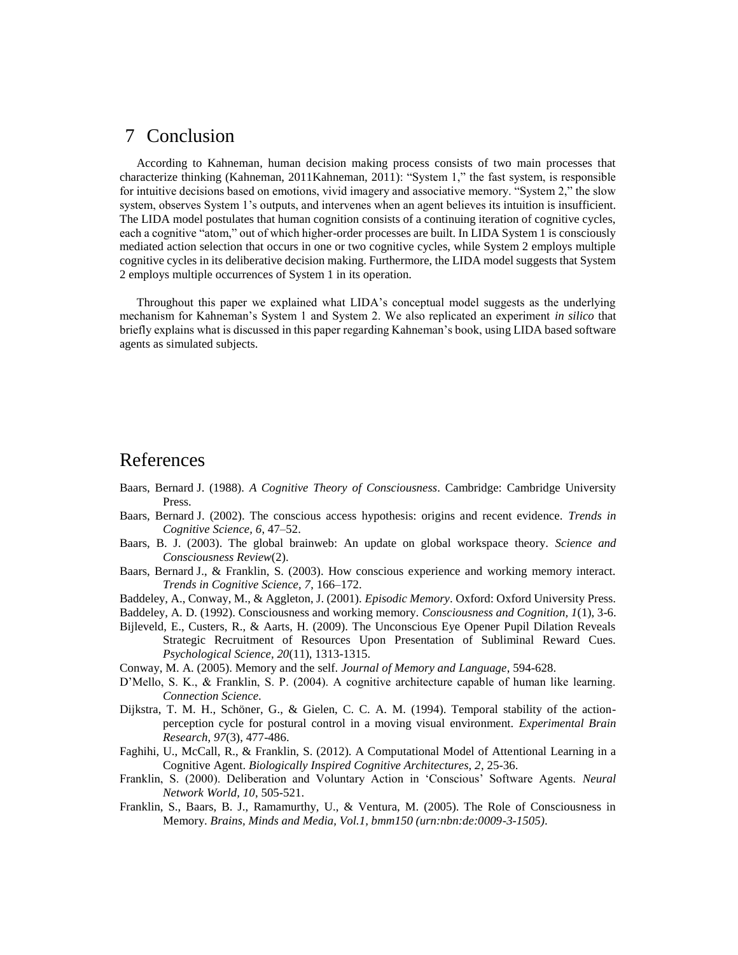#### 7 Conclusion

According to Kahneman, human decision making process consists of two main processes that characterize thinking (Kahneman, 201[1Kahneman, 2011\)](#page-20-0): "System 1," the fast system, is responsible for intuitive decisions based on emotions, vivid imagery and associative memory. "System 2," the slow system, observes System 1's outputs, and intervenes when an agent believes its intuition is insufficient. The LIDA model postulates that human cognition consists of a continuing iteration of cognitive cycles, each a cognitive "atom," out of which higher-order processes are built. In LIDA System 1 is consciously mediated action selection that occurs in one or two cognitive cycles, while System 2 employs multiple cognitive cycles in its deliberative decision making. Furthermore, the LIDA model suggests that System 2 employs multiple occurrences of System 1 in its operation.

Throughout this paper we explained what LIDA's conceptual model suggests as the underlying mechanism for Kahneman's System 1 and System 2. We also replicated an experiment *in silico* that briefly explains what is discussed in this paper regarding Kahneman's book, using LIDA based software agents as simulated subjects.

#### References

- <span id="page-19-0"></span>Baars, Bernard J. (1988). *A Cognitive Theory of Consciousness*. Cambridge: Cambridge University Press.
- <span id="page-19-1"></span>Baars, Bernard J. (2002). The conscious access hypothesis: origins and recent evidence. *Trends in Cognitive Science, 6*, 47–52.
- <span id="page-19-8"></span>Baars, B. J. (2003). The global brainweb: An update on global workspace theory. *Science and Consciousness Review*(2).
- <span id="page-19-5"></span>Baars, Bernard J., & Franklin, S. (2003). How conscious experience and working memory interact. *Trends in Cognitive Science, 7*, 166–172.
- <span id="page-19-9"></span>Baddeley, A., Conway, M., & Aggleton, J. (2001). *Episodic Memory*. Oxford: Oxford University Press.

<span id="page-19-11"></span>Baddeley, A. D. (1992). Consciousness and working memory. *Consciousness and Cognition, 1*(1), 3-6.

- <span id="page-19-2"></span>Bijleveld, E., Custers, R., & Aarts, H. (2009). The Unconscious Eye Opener Pupil Dilation Reveals Strategic Recruitment of Resources Upon Presentation of Subliminal Reward Cues. *Psychological Science, 20*(11), 1313-1315.
- <span id="page-19-7"></span>Conway, M. A. (2005). Memory and the self. *Journal of Memory and Language*, 594-628.
- D'Mello, S. K., & Franklin, S. P. (2004). A cognitive architecture capable of human like learning. *Connection Science*.
- <span id="page-19-4"></span>Dijkstra, T. M. H., Schöner, G., & Gielen, C. C. A. M. (1994). Temporal stability of the actionperception cycle for postural control in a moving visual environment. *Experimental Brain Research, 97*(3), 477-486.
- <span id="page-19-10"></span>Faghihi, U., McCall, R., & Franklin, S. (2012). A Computational Model of Attentional Learning in a Cognitive Agent. *Biologically Inspired Cognitive Architectures, 2*, 25-36.
- <span id="page-19-12"></span>Franklin, S. (2000). Deliberation and Voluntary Action in 'Conscious' Software Agents. *Neural Network World, 10*, 505-521.
- <span id="page-19-6"></span><span id="page-19-3"></span>Franklin, S., Baars, B. J., Ramamurthy, U., & Ventura, M. (2005). The Role of Consciousness in Memory. *Brains, Minds and Media, Vol.1, bmm150 (urn:nbn:de:0009-3-1505)*.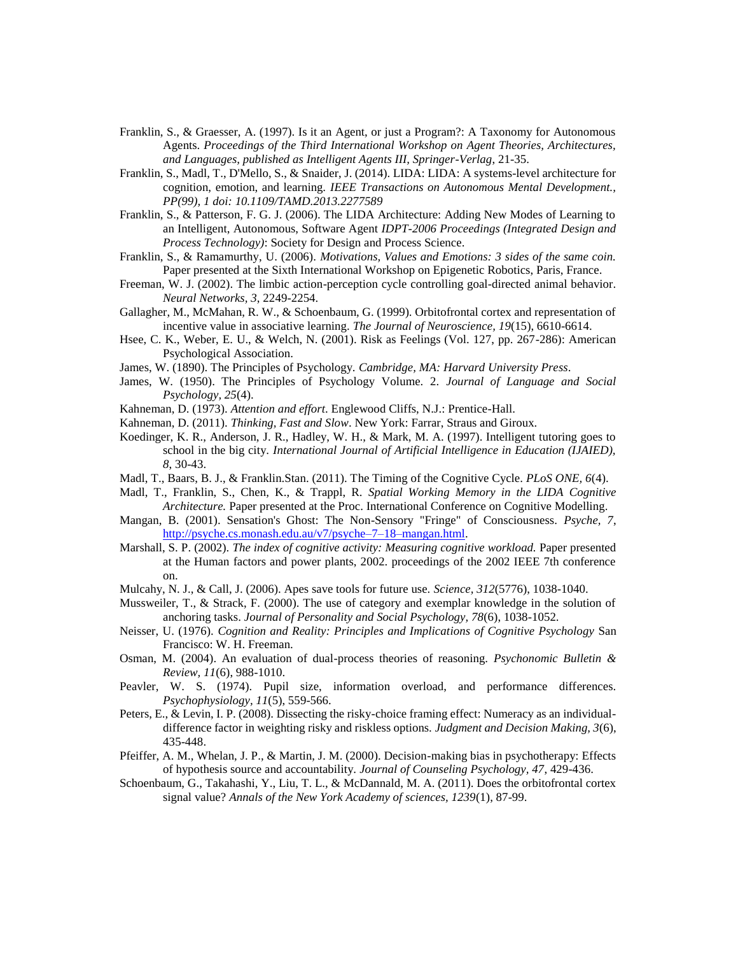- <span id="page-20-10"></span>Franklin, S., & Graesser, A. (1997). Is it an Agent, or just a Program?: A Taxonomy for Autonomous Agents. *Proceedings of the Third International Workshop on Agent Theories, Architectures, and Languages, published as Intelligent Agents III, Springer-Verlag*, 21-35.
- <span id="page-20-1"></span>Franklin, S., Madl, T., D'Mello, S., & Snaider, J. (2014). LIDA: LIDA: A systems-level architecture for cognition, emotion, and learning. *IEEE Transactions on Autonomous Mental Development., PP(99), 1 doi: 10.1109/TAMD.2013.2277589*
- <span id="page-20-14"></span>Franklin, S., & Patterson, F. G. J. (2006). The LIDA Architecture: Adding New Modes of Learning to an Intelligent, Autonomous, Software Agent *IDPT-2006 Proceedings (Integrated Design and Process Technology)*: Society for Design and Process Science.
- <span id="page-20-17"></span>Franklin, S., & Ramamurthy, U. (2006). *Motivations, Values and Emotions: 3 sides of the same coin.* Paper presented at the Sixth International Workshop on Epigenetic Robotics, Paris, France.
- <span id="page-20-11"></span>Freeman, W. J. (2002). The limbic action-perception cycle controlling goal-directed animal behavior. *Neural Networks, 3*, 2249-2254.
- <span id="page-20-21"></span>Gallagher, M., McMahan, R. W., & Schoenbaum, G. (1999). Orbitofrontal cortex and representation of incentive value in associative learning. *The Journal of Neuroscience, 19*(15), 6610-6614.
- <span id="page-20-8"></span>Hsee, C. K., Weber, E. U., & Welch, N. (2001). Risk as Feelings (Vol. 127, pp. 267-286): American Psychological Association.
- <span id="page-20-19"></span>James, W. (1890). The Principles of Psychology. *Cambridge, MA: Harvard University Press*.
- <span id="page-20-2"></span>James, W. (1950). The Principles of Psychology Volume. 2. *Journal of Language and Social Psychology, 25*(4).
- <span id="page-20-5"></span>Kahneman, D. (1973). *Attention and effort*. Englewood Cliffs, N.J.: Prentice-Hall.
- <span id="page-20-0"></span>Kahneman, D. (2011). *Thinking, Fast and Slow*. New York: Farrar, Straus and Giroux.
- <span id="page-20-20"></span>Koedinger, K. R., Anderson, J. R., Hadley, W. H., & Mark, M. A. (1997). Intelligent tutoring goes to school in the big city. *International Journal of Artificial Intelligence in Education (IJAIED), 8*, 30-43.
- <span id="page-20-13"></span>Madl, T., Baars, B. J., & Franklin.Stan. (2011). The Timing of the Cognitive Cycle. *PLoS ONE, 6*(4).
- <span id="page-20-15"></span>Madl, T., Franklin, S., Chen, K., & Trappl, R. *Spatial Working Memory in the LIDA Cognitive Architecture.* Paper presented at the Proc. International Conference on Cognitive Modelling.
- <span id="page-20-18"></span>Mangan, B. (2001). Sensation's Ghost: The Non-Sensory "Fringe" of Consciousness. *Psyche, 7*, [http://psyche.cs.monash.edu.au/v7/psyche–7–18–mangan.html.](http://psyche.cs.monash.edu.au/v7/psyche–7–18–mangan.html)
- <span id="page-20-6"></span>Marshall, S. P. (2002). *The index of cognitive activity: Measuring cognitive workload.* Paper presented at the Human factors and power plants, 2002. proceedings of the 2002 IEEE 7th conference on.
- <span id="page-20-16"></span>Mulcahy, N. J., & Call, J. (2006). Apes save tools for future use. *Science, 312*(5776), 1038-1040.
- <span id="page-20-9"></span>Mussweiler, T., & Strack, F. (2000). The use of category and exemplar knowledge in the solution of anchoring tasks. *Journal of Personality and Social Psychology, 78*(6), 1038-1052.
- <span id="page-20-12"></span>Neisser, U. (1976). *Cognition and Reality: Principles and Implications of Cognitive Psychology* San Francisco: W. H. Freeman.
- Osman, M. (2004). An evaluation of dual-process theories of reasoning. *Psychonomic Bulletin & Review, 11*(6), 988-1010.
- <span id="page-20-7"></span>Peavler, W. S. (1974). Pupil size, information overload, and performance differences. *Psychophysiology, 11*(5), 559-566.
- <span id="page-20-4"></span>Peters, E., & Levin, I. P. (2008). Dissecting the risky-choice framing effect: Numeracy as an individualdifference factor in weighting risky and riskless options. *Judgment and Decision Making, 3*(6), 435-448.
- <span id="page-20-3"></span>Pfeiffer, A. M., Whelan, J. P., & Martin, J. M. (2000). Decision-making bias in psychotherapy: Effects of hypothesis source and accountability. *Journal of Counseling Psychology, 47*, 429-436.
- <span id="page-20-22"></span>Schoenbaum, G., Takahashi, Y., Liu, T. L., & McDannald, M. A. (2011). Does the orbitofrontal cortex signal value? *Annals of the New York Academy of sciences, 1239*(1), 87-99.